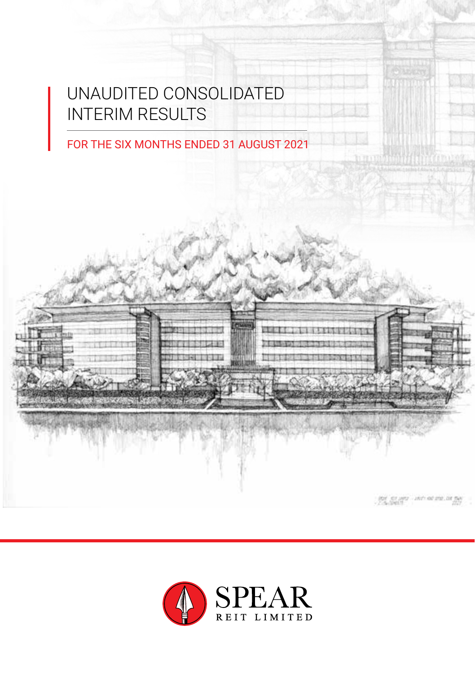# UNAUDITED CONSOLIDATED INTERIM RESULTS

FOR THE SIX MONTHS ENDED 31 AUGUST 2021



unit of the in the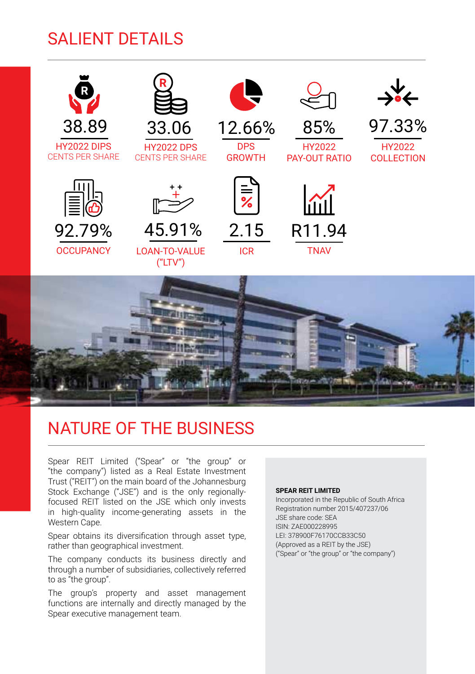# SALIENT DETAILS



# NATURE OF THE BUSINESS

Spear REIT Limited ("Spear" or "the group" or "the company") listed as a Real Estate Investment Trust ("REIT") on the main board of the Johannesburg Stock Exchange ("JSE") and is the only regionallyfocused REIT listed on the JSE which only invests in high-quality income-generating assets in the Western Cape.

Spear obtains its diversification through asset type, rather than geographical investment.

The company conducts its business directly and through a number of subsidiaries, collectively referred to as "the group".

The group's property and asset management functions are internally and directly managed by the Spear executive management team.

#### **SPEAR REIT LIMITED**

Incorporated in the Republic of South Africa Registration number 2015/407237/06 JSE share code: SEA ISIN: ZAE000228995 LEI: 378900F76170CCB33C50 (Approved as a REIT by the JSE) ("Spear" or "the group" or "the company")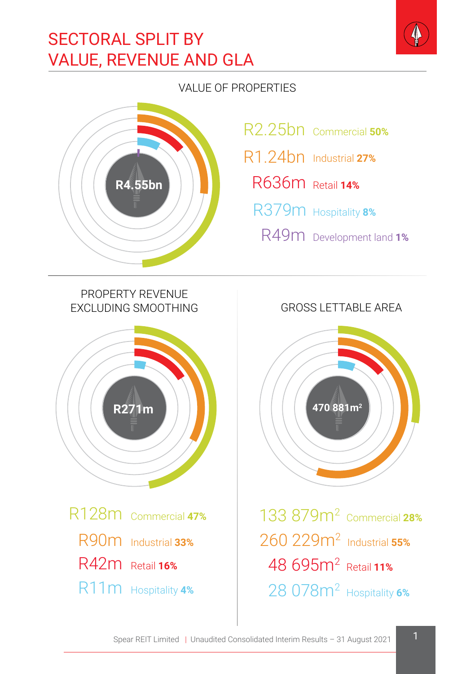# SECTORAL SPLIT BY VALUE, REVENUE AND GLA

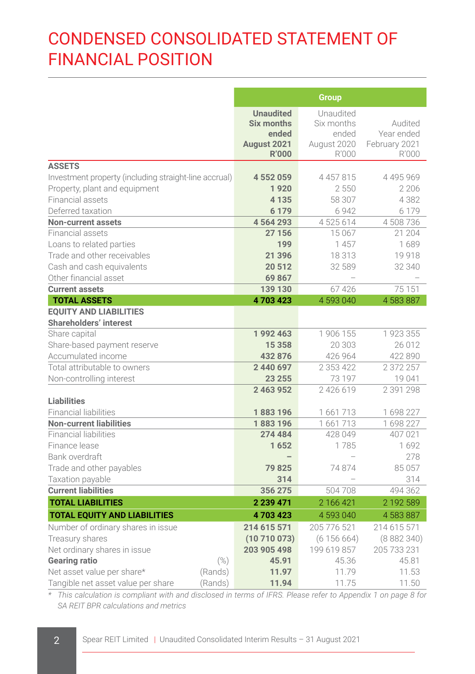# CONDENSED CONSOLIDATED STATEMENT OF FINANCIAL POSITION

|                                                       |        |                                                                               | <b>Group</b>                                             |                                                 |
|-------------------------------------------------------|--------|-------------------------------------------------------------------------------|----------------------------------------------------------|-------------------------------------------------|
|                                                       |        | <b>Unaudited</b><br><b>Six months</b><br>ended<br>August 2021<br><b>R'000</b> | Unaudited<br>Six months<br>ended<br>August 2020<br>R'000 | Audited<br>Year ended<br>February 2021<br>R'000 |
| <b>ASSETS</b>                                         |        |                                                                               |                                                          |                                                 |
| Investment property (including straight-line accrual) |        | 4 552 059                                                                     | 4 4 5 7 8 1 5                                            | 4 4 9 5 9 6 9                                   |
| Property, plant and equipment                         |        | 1920                                                                          | 2550                                                     | 2 2 0 6                                         |
| Financial assets                                      |        | 4 1 3 5                                                                       | 58 307                                                   | 4382                                            |
| Deferred taxation                                     |        | 6 1 7 9                                                                       | 6942                                                     | 6 1 7 9                                         |
| <b>Non-current assets</b>                             |        | 4564293                                                                       | 4525614                                                  | 4 508 736                                       |
| Financial assets                                      |        | 27 156                                                                        | 15 0 67                                                  | 21 204                                          |
| Loans to related parties                              |        | 199                                                                           | 1457                                                     | 1689                                            |
| Trade and other receivables                           |        | 21 396                                                                        | 18313                                                    | 19918                                           |
| Cash and cash equivalents                             |        | 20 512                                                                        | 32 589                                                   | 32 340                                          |
| Other financial asset                                 |        | 69867                                                                         |                                                          |                                                 |
| <b>Current assets</b>                                 |        | 139 130                                                                       | 67426                                                    | 75 151                                          |
| <b>TOTAL ASSETS</b>                                   |        | 4703423                                                                       | 4 593 040                                                | 4 583 887                                       |
| <b>EQUITY AND LIABILITIES</b>                         |        |                                                                               |                                                          |                                                 |
| <b>Shareholders' interest</b>                         |        |                                                                               |                                                          |                                                 |
| Share capital                                         |        | 1992463                                                                       | 1 906 155                                                | 1923355                                         |
| Share-based payment reserve                           |        | 15 3 58                                                                       | 20 303                                                   | 26 012                                          |
| Accumulated income                                    |        | 432 876                                                                       | 426 964                                                  | 422 890                                         |
| Total attributable to owners                          |        | 2 440 697<br>23 255                                                           | 2 3 5 3 4 2 2                                            | 2 372 257                                       |
| Non-controlling interest                              |        | 2 463 952                                                                     | 73 197<br>2426619                                        | 19041<br>2 391 298                              |
| <b>Liabilities</b>                                    |        |                                                                               |                                                          |                                                 |
| <b>Financial liabilities</b>                          |        | 1883196                                                                       | 1661713                                                  | 1698227                                         |
| <b>Non-current liabilities</b>                        |        | 1883196                                                                       | 1661713                                                  | 1698227                                         |
| <b>Financial liabilities</b>                          |        | 274 484                                                                       | 428 049                                                  | 407 021                                         |
| Finance lease                                         |        | 1652                                                                          | 1785                                                     | 1692                                            |
| Bank overdraft                                        |        |                                                                               |                                                          | 278                                             |
| Trade and other payables                              |        | 79825                                                                         | 74874                                                    | 85057                                           |
| Taxation payable                                      |        | 314                                                                           |                                                          | 314                                             |
| <b>Current liabilities</b>                            |        | 356 275                                                                       | 504708                                                   | 494 362                                         |
| <b>TOTAL LIABILITIES</b>                              |        | 2 239 471                                                                     | 2 166 421                                                | 2 192 589                                       |
| <b>TOTAL EQUITY AND LIABILITIES</b>                   |        | 4703423                                                                       | 4 593 040                                                | 4 583 887                                       |
| Number of ordinary shares in issue                    |        | 214 615 571                                                                   | 205 776 521                                              | 214 615 571                                     |
| Treasury shares                                       |        | (10710073)                                                                    | (6156664)                                                | (8882340)                                       |
| Net ordinary shares in issue                          |        | 203 905 498                                                                   | 199 619 857                                              | 205 733 231                                     |
| <b>Gearing ratio</b>                                  | $(\%)$ | 45.91                                                                         | 45.36                                                    | 45.81                                           |
| Net asset value per share*<br>(Rands)                 |        | 11.97                                                                         | 11.79                                                    | 11.53                                           |
| Tangible net asset value per share<br>(Rands)         |        | 11.94                                                                         | 11.75                                                    | 11.50                                           |

*\* This calculation is compliant with and disclosed in terms of IFRS. Please refer to Appendix 1 on page 8 for SA REIT BPR calculations and metrics*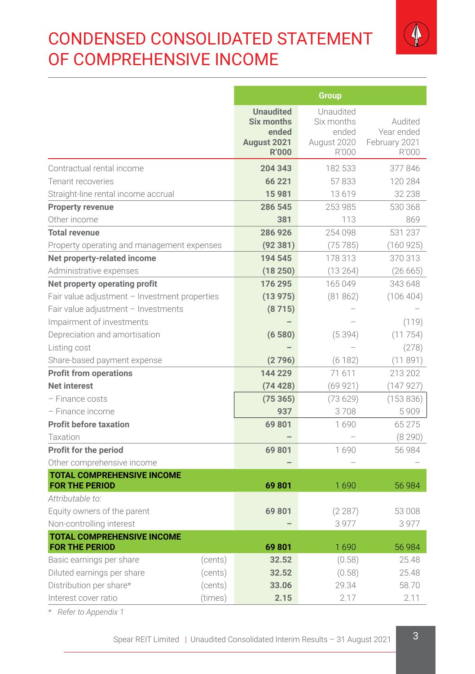# CONDENSED CONSOLIDATED STATEMENT OF COMPREHENSIVE INCOME



|                                                            |         |                                                                               | <b>Group</b>                                             |                                                 |
|------------------------------------------------------------|---------|-------------------------------------------------------------------------------|----------------------------------------------------------|-------------------------------------------------|
|                                                            |         | <b>Unaudited</b><br><b>Six months</b><br>ended<br>August 2021<br><b>R'000</b> | Unaudited<br>Six months<br>ended<br>August 2020<br>R'000 | Audited<br>Year ended<br>February 2021<br>R'000 |
| Contractual rental income                                  |         | 204 343                                                                       | 182 533                                                  | 377 846                                         |
| Tenant recoveries                                          |         | 66 221                                                                        | 57833                                                    | 120 284                                         |
| Straight-line rental income accrual                        |         | 15981                                                                         | 13619                                                    | 32 238                                          |
| <b>Property revenue</b>                                    |         | 286 545                                                                       | 253 985                                                  | 530 368                                         |
| Other income                                               |         | 381                                                                           | 113                                                      | 869                                             |
| <b>Total revenue</b>                                       |         | 286 926                                                                       | 254 098                                                  | 531 237                                         |
| Property operating and management expenses                 |         | (92381)                                                                       | (75785)                                                  | (160925)                                        |
| Net property-related income                                |         | 194 545                                                                       | 178 313                                                  | 370 313                                         |
| Administrative expenses                                    |         | (18250)                                                                       | (13264)                                                  | (26665)                                         |
| Net property operating profit                              |         | 176 295                                                                       | 165 049                                                  | 343 648                                         |
| Fair value adjustment - Investment properties              |         | (13975)                                                                       | (81862)                                                  | (106404)                                        |
| Fair value adjustment - Investments                        |         | (8715)                                                                        |                                                          |                                                 |
| Impairment of investments                                  |         |                                                                               |                                                          | (119)                                           |
| Depreciation and amortisation                              |         | (6580)                                                                        | (5394)                                                   | (11754)                                         |
| Listing cost                                               |         |                                                                               |                                                          | (278)                                           |
| Share-based payment expense                                |         | (2796)                                                                        | (6182)                                                   | (11891)                                         |
| <b>Profit from operations</b>                              |         | 144 229                                                                       | 71611                                                    | 213 202                                         |
| <b>Net interest</b>                                        |         | (74428)                                                                       | (69921)                                                  | (147927)                                        |
| - Finance costs                                            |         | (75365)                                                                       | (73629)                                                  | (153 836)                                       |
| - Finance income                                           |         | 937                                                                           | 3708                                                     | 5909                                            |
| <b>Profit before taxation</b>                              |         | 69 801                                                                        | 1690                                                     | 65 275                                          |
| Taxation                                                   |         |                                                                               |                                                          | (8290)                                          |
| Profit for the period                                      |         | 69 801                                                                        | 1690                                                     | 56 984                                          |
| Other comprehensive income                                 |         |                                                                               |                                                          |                                                 |
| <b>TOTAL COMPREHENSIVE INCOME</b><br><b>FOR THE PERIOD</b> |         | 69801                                                                         | 1690                                                     | 56 984                                          |
| Attributable to:                                           |         |                                                                               |                                                          |                                                 |
| Equity owners of the parent                                |         | 69801                                                                         | (2287)                                                   | 53 008                                          |
| Non-controlling interest                                   |         |                                                                               | 3977                                                     | 3977                                            |
| <b>TOTAL COMPREHENSIVE INCOME</b><br><b>FOR THE PERIOD</b> |         | 69801                                                                         | 1690                                                     | 56 984                                          |
| Basic earnings per share                                   | (cents) | 32.52                                                                         | (0.58)                                                   | 25.48                                           |
| Diluted earnings per share                                 | (cents) | 32.52                                                                         | (0.58)                                                   | 25.48                                           |
| Distribution per share*<br>(cents)                         |         | 33.06                                                                         | 29.34                                                    | 58.70                                           |
| Interest cover ratio<br>(times)                            |         | 2.15                                                                          | 2.17                                                     | 2.11                                            |

*\* Refer to Appendix 1*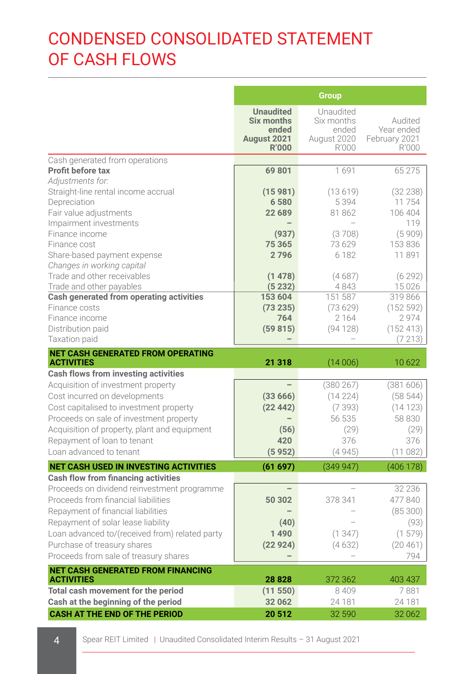# CONDENSED CONSOLIDATED STATEMENT OF CASH FLOWS

|                                                                                    |                                                                        | <b>Group</b>                                             |                                                 |
|------------------------------------------------------------------------------------|------------------------------------------------------------------------|----------------------------------------------------------|-------------------------------------------------|
|                                                                                    | <b>Unaudited</b><br>Six months<br>ended<br>August 2021<br><b>R'000</b> | Unaudited<br>Six months<br>ended<br>August 2020<br>R'000 | Audited<br>Year ended<br>February 2021<br>R'000 |
| Cash generated from operations                                                     |                                                                        |                                                          |                                                 |
| Profit before tax                                                                  | 69801                                                                  | 1691                                                     | 65 275                                          |
| Adiustments for:                                                                   |                                                                        |                                                          |                                                 |
| Straight-line rental income accrual                                                | (15981)                                                                | (13619)                                                  | (32 238)                                        |
| Depreciation<br>Fair value adjustments                                             | 6580<br>22 689                                                         | 5394<br>81862                                            | 11754<br>106 404                                |
| Impairment investments                                                             |                                                                        |                                                          | 119                                             |
| Finance income                                                                     | (937)                                                                  | (3708)                                                   | (5909)                                          |
| Finance cost                                                                       | 75 365                                                                 | 73629                                                    | 153 836                                         |
| Share-based payment expense                                                        | 2796                                                                   | 6 1 8 2                                                  | 11891                                           |
| Changes in working capital                                                         |                                                                        |                                                          |                                                 |
| Trade and other receivables                                                        | (1478)                                                                 | (4687)                                                   | (6292)                                          |
| Trade and other payables                                                           | (5232)                                                                 | 4843                                                     | 15 0 26                                         |
| Cash generated from operating activities                                           | 153 604                                                                | 151 587                                                  | 319 866                                         |
| Finance costs                                                                      | (73 235)                                                               | (73629)                                                  | (152592)                                        |
| Finance income                                                                     | 764                                                                    | 2 1 6 4                                                  | 2974                                            |
| Distribution paid                                                                  | (59815)                                                                | (94128)                                                  | (152413)                                        |
| Taxation paid                                                                      |                                                                        |                                                          | (7213)                                          |
| <b>NET CASH GENERATED FROM OPERATING</b><br><b>ACTIVITIES</b>                      | 21 318                                                                 | (14006)                                                  | 10622                                           |
| Cash flows from investing activities                                               |                                                                        |                                                          |                                                 |
| Acquisition of investment property                                                 |                                                                        | (380267)                                                 | (381606)                                        |
| Cost incurred on developments                                                      | (33666)                                                                | (14224)                                                  | (58544)                                         |
| Cost capitalised to investment property                                            | (22442)                                                                | (7393)                                                   | (14123)                                         |
| Proceeds on sale of investment property                                            |                                                                        | 56 535                                                   | 58 830                                          |
| Acquisition of property, plant and equipment                                       | (56)                                                                   | (29)                                                     | (29)                                            |
| Repayment of loan to tenant                                                        | 420                                                                    | 376                                                      | 376                                             |
| Loan advanced to tenant                                                            | (5952)                                                                 | (4945)                                                   | (11082)                                         |
| <b>NET CASH USED IN INVESTING ACTIVITIES</b>                                       | (61697)                                                                | (349947)                                                 | (406 178)                                       |
| Cash flow from financing activities                                                |                                                                        |                                                          | 32 236                                          |
| Proceeds on dividend reinvestment programme<br>Proceeds from financial liabilities | 50 302                                                                 |                                                          | 477840                                          |
| Repayment of financial liabilities                                                 |                                                                        | 378 341                                                  | (85300)                                         |
| Repayment of solar lease liability                                                 | (40)                                                                   |                                                          | (93)                                            |
| Loan advanced to/(received from) related party                                     | 1490                                                                   | (1, 347)                                                 | (1579)                                          |
| Purchase of treasury shares                                                        | (22924)                                                                | (4632)                                                   | (20461)                                         |
| Proceeds from sale of treasury shares                                              |                                                                        |                                                          | 794                                             |
| <b>NET CASH GENERATED FROM FINANCING</b>                                           |                                                                        |                                                          |                                                 |
| <b>ACTIVITIES</b>                                                                  | 28828                                                                  | 372 362                                                  | 403 437                                         |
| Total cash movement for the period                                                 |                                                                        |                                                          |                                                 |
|                                                                                    | (11550)                                                                | 8 4 0 9                                                  | 7881                                            |
| Cash at the beginning of the period<br><b>CASH AT THE END OF THE PERIOD</b>        | 32 062<br>20512                                                        | 24 181<br>32 590                                         | 24 181<br>32 062                                |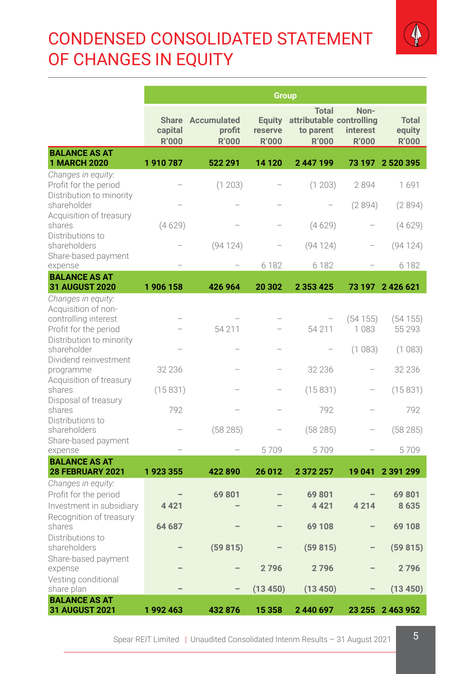# CONDENSED CONSOLIDATED STATEMENT OF CHANGES IN EQUITY



|                                                                                            | <b>Group</b>            |                                             |                                   |                                                                       |                                  |                                        |
|--------------------------------------------------------------------------------------------|-------------------------|---------------------------------------------|-----------------------------------|-----------------------------------------------------------------------|----------------------------------|----------------------------------------|
|                                                                                            | capital<br><b>R'000</b> | Share Accumulated<br>profit<br><b>R'000</b> | Equity<br>reserve<br><b>R'000</b> | <b>Total</b><br>attributable controlling<br>to parent<br><b>R'000</b> | Non-<br>interest<br><b>R'000</b> | <b>Total</b><br>equity<br><b>R'000</b> |
| <b>BALANCE AS AT</b><br><b>1 MARCH 2020</b>                                                | 1910787                 | 522 291                                     | 14 120                            | 2447199                                                               |                                  | 73 197 2 520 395                       |
| Changes in equity:<br>Profit for the period<br>Distribution to minority                    |                         | (1203)                                      |                                   | (1203)                                                                | 2894                             | 1691                                   |
| shareholder<br>Acquisition of treasury<br>shares                                           | (4629)                  |                                             |                                   | (4629)                                                                | (2894)                           | (2894)<br>(4629)                       |
| Distributions to<br>shareholders<br>Share-based payment                                    |                         | (94124)                                     |                                   | (94124)                                                               |                                  | (94 124)                               |
| expense<br><b>BALANCE AS AT</b>                                                            |                         |                                             | 6 1 8 2                           | 6 1 8 2                                                               |                                  | 6 182                                  |
| <b>31 AUGUST 2020</b>                                                                      | 1906158                 | 426 964                                     | 20 302                            | 2 3 5 3 4 2 5                                                         |                                  | 73 197 2 426 621                       |
| Changes in equity:<br>Acquisition of non-<br>controlling interest<br>Profit for the period |                         | 54 211                                      |                                   | 54 211                                                                | (54155)<br>1083                  | (54155)<br>55 293                      |
| Distribution to minority<br>shareholder                                                    |                         |                                             |                                   |                                                                       | (1083)                           | (1083)                                 |
| Dividend reinvestment<br>programme                                                         | 32 2 36                 |                                             |                                   | 32 2 36                                                               |                                  | 32 236                                 |
| Acquisition of treasury<br>shares                                                          | (15831)                 |                                             |                                   | (15831)                                                               |                                  | (15831)                                |
| Disposal of treasury<br>shares                                                             | 792                     |                                             |                                   | 792                                                                   |                                  | 792                                    |
| Distributions to<br>shareholders                                                           |                         | (58285)                                     |                                   | (58285)                                                               |                                  | (58285)                                |
| Share-based payment<br>expense                                                             |                         |                                             | 5709                              | 5709                                                                  |                                  | 5709                                   |
| <b>BALANCE AS AT</b><br>28 FEBRUARY 2021                                                   | 1923355                 | 422890                                      | 26 012                            | 2 372 257                                                             | 19041                            | 2 391 299                              |
| Changes in equity:<br>Profit for the period<br>Investment in subsidiary                    | 4 4 2 1                 | 69801                                       |                                   | 69801<br>4 4 2 1                                                      | 4214                             | 69801<br>8635                          |
| Recognition of treasury<br>shares                                                          | 64 687                  |                                             |                                   | 69 108                                                                |                                  | 69 108                                 |
| Distributions to<br>shareholders                                                           |                         | (59815)                                     |                                   | (59815)                                                               |                                  | (59815)                                |
| Share-based payment<br>expense                                                             |                         |                                             | 2796                              | 2796                                                                  |                                  | 2796                                   |
| Vesting conditional<br>share plan                                                          |                         |                                             | (13 450)                          | (13 450)                                                              |                                  | (13 450)                               |
| <b>BALANCE AS AT</b><br><b>31 AUGUST 2021</b>                                              | 1992463                 | 432 876                                     | 15 3 58                           | 2 440 697                                                             |                                  | 23 255 2 463 952                       |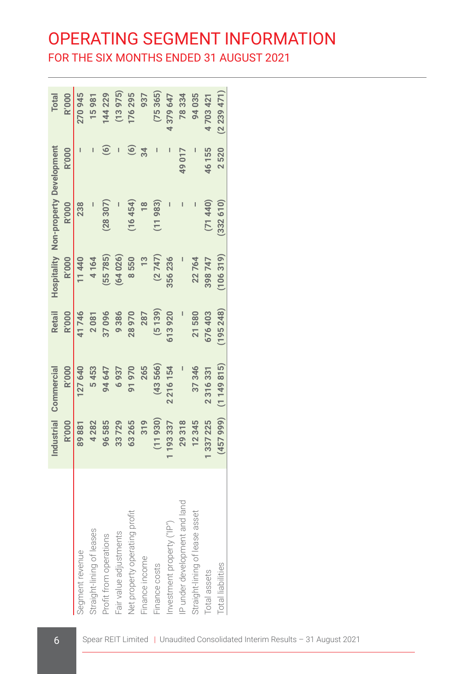# OPERATING SEGMENT INFORMATION FOR THE SIX MONTHS ENDED 31 AUGUST 2021

|                                |              | Industrial Commercial | Retail       |               | Hospitality Non-property Development |                | Total        |
|--------------------------------|--------------|-----------------------|--------------|---------------|--------------------------------------|----------------|--------------|
|                                | <b>R'000</b> | <b>R'000</b>          | <b>R'000</b> | <b>R'000</b>  | <b>R'000</b>                         | <b>R'000</b>   | <b>R'000</b> |
| Segment revenue                | 89881        | 27 640                | 41746        | 11440         | 238                                  |                | 270945       |
| Straight-lining of leases      | 4 2 8 2      | 5453                  | 2081         | 4164          |                                      |                | 15981        |
| Profit from operations         | 96585        | 94 647                | 37096        | $(55\ 785)$   | (28307)                              | ම              | 144229       |
| Fair value adjustments         | 33729        | 6937                  | 9386         | (64026)       |                                      |                | (13975)      |
| Net property operating profit  | 63265        | 91970                 | 28970        | 8550          | (16454)                              | $\circledcirc$ | 176295       |
| Finance income                 | 319          | 265                   | 287          | $\frac{3}{5}$ |                                      | 34             | 937          |
| Finance costs                  | (11930)      | (43566)               | (5139)       | (2747)        | (11983)                              |                | (75365)      |
| Investment property ("IP")     | 1193337      | 2216154               | 613920       | 356236        |                                      |                | 4379647      |
| IP under development and land  | 29318        |                       |              |               |                                      | 49 017         | 78334        |
| Straight-lining of lease asset | 12345        | 37346                 | 21580        | 22764         |                                      |                | 94035        |
| Total assets                   | 1337225      | 2316331               | 676403       | 398747        | (71440)                              | 46 155         | 4703421      |
| <b>Total liabilities</b>       |              | $(45799)$ $(1149815)$ | (195248)     | (106319)      | (332610)                             | 2520           | (2239471)    |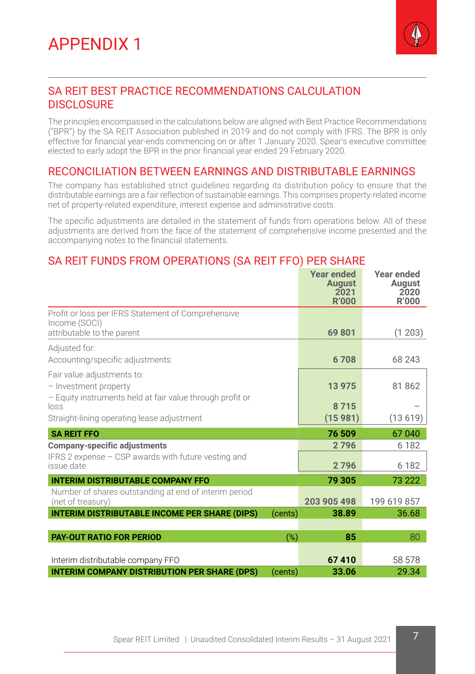

# SA REIT BEST PRACTICE RECOMMENDATIONS CALCULATION DISCLOSURE

The principles encompassed in the calculations below are aligned with Best Practice Recommendations ("BPR") by the SA REIT Association published in 2019 and do not comply with IFRS. The BPR is only effective for financial year-ends commencing on or after 1 January 2020. Spear's executive committee elected to early adopt the BPR in the prior financial year ended 29 February 2020.

### RECONCILIATION BETWEEN EARNINGS AND DISTRIBUTABLE EARNINGS

The company has established strict guidelines regarding its distribution policy to ensure that the distributable earnings are a fair reflection of sustainable earnings. This comprises property-related income net of property-related expenditure, interest expense and administrative costs.

The specific adjustments are detailed in the statement of funds from operations below. All of these adjustments are derived from the face of the statement of comprehensive income presented and the accompanying notes to the financial statements.

# SA REIT FUNDS FROM OPERATIONS (SA REIT FFO) PER SHARE

|                                                                                                                  |         | <b>Year ended</b><br><b>August</b><br>2021<br><b>R'000</b> | Year ended<br>August<br>2020<br><b>R'000</b> |
|------------------------------------------------------------------------------------------------------------------|---------|------------------------------------------------------------|----------------------------------------------|
| Profit or loss per IFRS Statement of Comprehensive<br>Income (SOCI)                                              |         | 69 801                                                     | (1203)                                       |
| attributable to the parent                                                                                       |         |                                                            |                                              |
| Adjusted for:<br>Accounting/specific adjustments:                                                                |         | 6708                                                       | 68 243                                       |
| Fair value adjustments to:<br>- Investment property<br>- Equity instruments held at fair value through profit or |         | 13 975                                                     | 81 862                                       |
| loss                                                                                                             |         | 8715                                                       |                                              |
| Straight-lining operating lease adjustment                                                                       |         | (15981)                                                    | (13619)                                      |
| <b>SA REIT FFO</b>                                                                                               |         | 76 509                                                     | 67 040                                       |
| <b>Company-specific adjustments</b>                                                                              |         | 2796                                                       | 6 1 8 2                                      |
| IFRS 2 expense - CSP awards with future vesting and<br>issue date                                                |         | 2796                                                       | 6 1 8 2                                      |
| <b>INTERIM DISTRIBUTABLE COMPANY FFO</b>                                                                         |         | 79 305                                                     | 73 222                                       |
| Number of shares outstanding at end of interim period<br>(net of treasury)                                       |         | 203 905 498                                                | 199 619 857                                  |
| <b>INTERIM DISTRIBUTABLE INCOME PER SHARE (DIPS)</b>                                                             | (cents) | 38.89                                                      | 36.68                                        |
|                                                                                                                  |         |                                                            |                                              |
| <b>PAY-OUT RATIO FOR PERIOD</b>                                                                                  | $(\%)$  | 85                                                         | 80                                           |
| Interim distributable company FFO                                                                                |         | 67410                                                      | 58 578                                       |
| <b>INTERIM COMPANY DISTRIBUTION PER SHARE (DPS)</b>                                                              | (cents) | 33.06                                                      | 29.34                                        |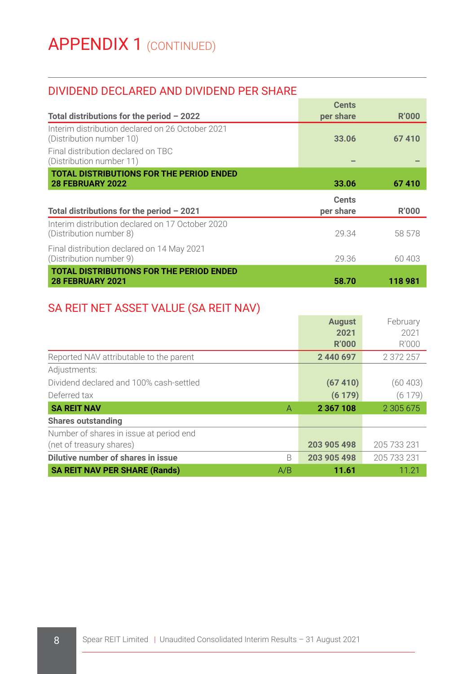# DIVIDEND DECLARED AND DIVIDEND PER SHARE

|                                                                              | <b>Cents</b> |        |
|------------------------------------------------------------------------------|--------------|--------|
| Total distributions for the period $-2022$                                   | per share    | R'000  |
| Interim distribution declared on 26 October 2021<br>(Distribution number 10) | 33.06        | 67410  |
| Final distribution declared on TBC<br>(Distribution number 11)               |              |        |
| <b>TOTAL DISTRIBUTIONS FOR THE PERIOD ENDED</b>                              |              |        |
| <b>28 FEBRUARY 2022</b>                                                      | 33.06        | 67410  |
|                                                                              |              |        |
|                                                                              | <b>Cents</b> |        |
| Total distributions for the period $-2021$                                   | per share    | R'000  |
| Interim distribution declared on 17 October 2020<br>(Distribution number 8)  | 29.34        | 58 578 |
| Final distribution declared on 14 May 2021<br>(Distribution number 9)        | 29.36        | 60 403 |

# SA REIT NET ASSET VALUE (SA REIT NAV)

|                                             | <b>August</b> | February      |
|---------------------------------------------|---------------|---------------|
|                                             | 2021          | 2021          |
|                                             | <b>R'000</b>  | R'000         |
| Reported NAV attributable to the parent     | 2 440 697     | 2 372 257     |
| Adjustments:                                |               |               |
| Dividend declared and 100% cash-settled     | (67410)       | (60 403)      |
| Deferred tax                                | (6179)        | (6179)        |
| <b>SA REIT NAV</b><br>A                     | 2 3 6 7 1 0 8 | 2 3 0 5 6 7 5 |
| <b>Shares outstanding</b>                   |               |               |
| Number of shares in issue at period end     |               |               |
| (net of treasury shares)                    | 203 905 498   | 205 733 231   |
| Dilutive number of shares in issue<br>B     | 203 905 498   | 205 733 231   |
| <b>SA REIT NAV PER SHARE (Rands)</b><br>A/B | 11.61         | 11.21         |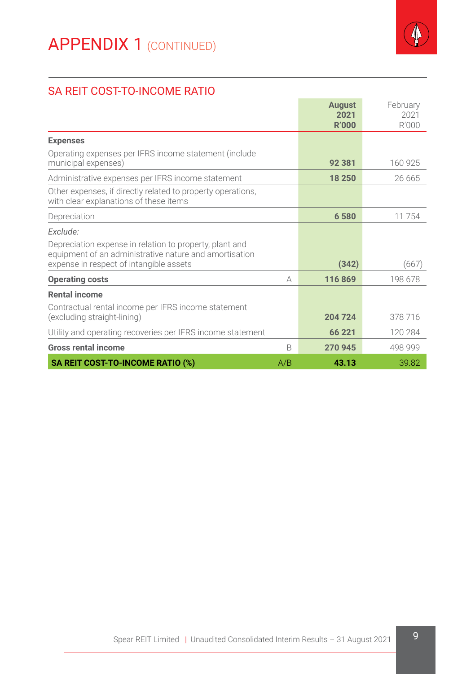

# SA REIT COST-TO-INCOME RATIO

|                                                                                                                   |              | <b>August</b><br>2021<br><b>R'000</b> | February<br>2021<br>R'000 |
|-------------------------------------------------------------------------------------------------------------------|--------------|---------------------------------------|---------------------------|
| <b>Expenses</b>                                                                                                   |              |                                       |                           |
| Operating expenses per IFRS income statement (include<br>municipal expenses)                                      |              | 92 381                                | 160 925                   |
| Administrative expenses per IFRS income statement                                                                 |              | 18 250                                | 26 665                    |
| Other expenses, if directly related to property operations,<br>with clear explanations of these items             |              |                                       |                           |
| Depreciation                                                                                                      |              | 6580                                  | 11754                     |
| Exclude:                                                                                                          |              |                                       |                           |
| Depreciation expense in relation to property, plant and<br>equipment of an administrative nature and amortisation |              |                                       |                           |
| expense in respect of intangible assets                                                                           |              | (342)                                 | (667)                     |
| <b>Operating costs</b>                                                                                            | А            | 116869                                | 198 678                   |
| <b>Rental income</b>                                                                                              |              |                                       |                           |
| Contractual rental income per IFRS income statement<br>(excluding straight-lining)                                |              | 204 724                               | 378 716                   |
| Utility and operating recoveries per IFRS income statement                                                        |              | 66 221                                | 120 284                   |
| <b>Gross rental income</b>                                                                                        | <sub>R</sub> | 270 945                               | 498 999                   |
| SA REIT COST-TO-INCOME RATIO (%)                                                                                  | A/B          | 43.13                                 | 39.82                     |

 $\sim$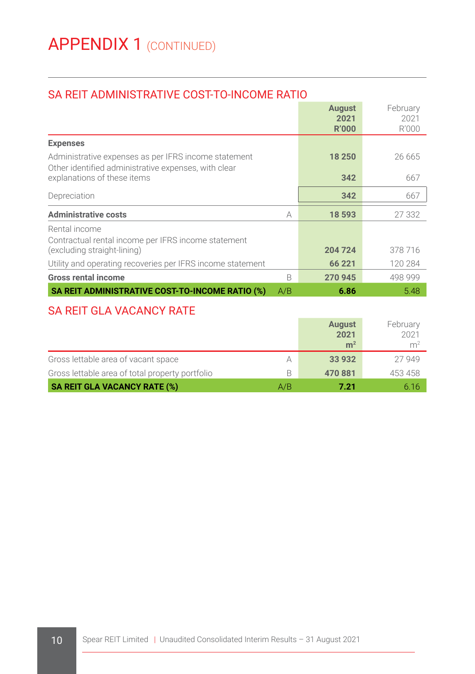# SA REIT ADMINISTRATIVE COST-TO-INCOME RATIO

|                                                                                                              |     | <b>August</b><br>2021<br>R'000 | February<br>2021<br>R'000 |
|--------------------------------------------------------------------------------------------------------------|-----|--------------------------------|---------------------------|
| <b>Expenses</b>                                                                                              |     |                                |                           |
| Administrative expenses as per IFRS income statement<br>Other identified administrative expenses, with clear |     | 18 250                         | 26 665                    |
| explanations of these items                                                                                  |     | 342                            | 667                       |
| Depreciation                                                                                                 |     | 342                            | 667                       |
| <b>Administrative costs</b>                                                                                  | А   | 18 593                         | 27 332                    |
| Rental income<br>Contractual rental income per IFRS income statement<br>(excluding straight-lining)          |     | 204 724                        | 378716                    |
| Utility and operating recoveries per IFRS income statement                                                   |     | 66 221                         | 120 284                   |
| <b>Gross rental income</b>                                                                                   | B   | 270 945                        | 498 999                   |
| SA REIT ADMINISTRATIVE COST-TO-INCOME RATIO (%)                                                              | A/B | 6.86                           | 5.48                      |

# SA REIT GLA VACANCY RATE

|                                                 |     | <b>August</b><br>2021<br>m <sup>2</sup> | February<br>2021<br>m <sup>2</sup> |
|-------------------------------------------------|-----|-----------------------------------------|------------------------------------|
| Gross lettable area of vacant space             | А   | 33 932                                  | 27 949                             |
| Gross lettable area of total property portfolio | B   | 470881                                  | 453 458                            |
| <b>SA REIT GLA VACANCY RATE (%)</b>             | A/B | 7.21                                    | 6.16                               |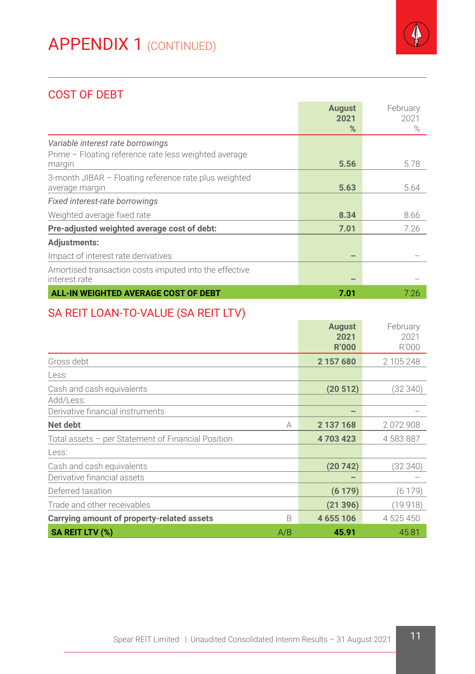

# COST OF DEBT

|                                                        | <b>August</b> | February |
|--------------------------------------------------------|---------------|----------|
|                                                        | 2021          | 2021     |
|                                                        | %             | $\%$     |
| Variable interest rate borrowings                      |               |          |
| Prime - Floating reference rate less weighted average  |               |          |
| margin                                                 | 5.56          | 5.78     |
| 3-month JIBAR - Floating reference rate plus weighted  |               |          |
| average margin                                         | 5.63          | 5.64     |
| Fixed interest-rate borrowings                         |               |          |
| Weighted average fixed rate                            | 8.34          | 8.66     |
| Pre-adjusted weighted average cost of debt:            | 7.01          | 7.26     |
| <b>Adjustments:</b>                                    |               |          |
| Impact of interest rate derivatives                    |               |          |
| Amortised transaction costs imputed into the effective |               |          |
| interest rate                                          |               |          |
| ALL-IN WEIGHTED AVERAGE COST OF DEBT                   | 7.01          | 7.26     |

# SA REIT LOAN-TO-VALUE (SA REIT LTV)

|                                                    |     | <b>August</b><br>2021<br><b>R'000</b> | February<br>2021<br>R'000 |
|----------------------------------------------------|-----|---------------------------------------|---------------------------|
| Gross debt                                         |     | 2 157 680                             | 2 105 248                 |
| Less:                                              |     |                                       |                           |
| Cash and cash equivalents                          |     | (20512)                               | (32 340)                  |
| Add/Less:                                          |     |                                       |                           |
| Derivative financial instruments                   |     | -                                     |                           |
| Net debt                                           | А   | 2 137 168                             | 2072908                   |
| Total assets - per Statement of Financial Position |     | 4703423                               | 4 583 887                 |
| Less:                                              |     |                                       |                           |
| Cash and cash equivalents                          |     | (20742)                               | (32 340)                  |
| Derivative financial assets                        |     |                                       |                           |
| Deferred taxation                                  |     | (6179)                                | (6 179)                   |
| Trade and other receivables                        |     | (21396)                               | (19 918)                  |
| Carrying amount of property-related assets         | B   | 4 655 106                             | 4 525 450                 |
| SA REIT LTV (%)                                    | A/B | 45.91                                 | 45.81                     |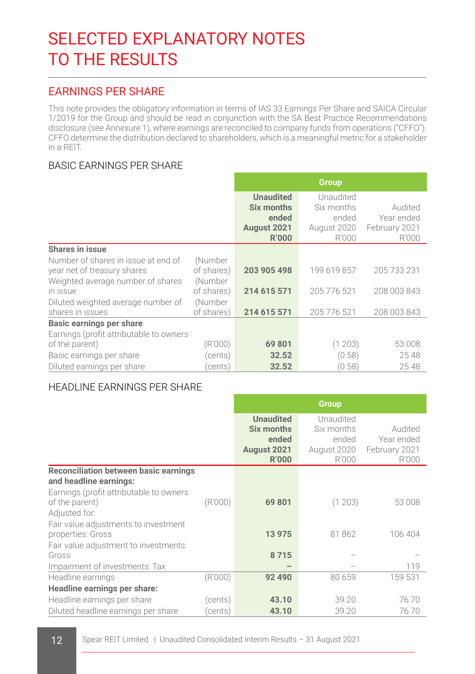# SELECTED EXPLANATORY NOTES TO THE RESULTS

# EARNINGS PER SHARE

This note provides the obligatory information in terms of IAS 33 Earnings Per Share and SAICA Circular 1/2019 for the Group and should be read in conjunction with the SA Best Practice Recommendations disclosure (see Annexure 1), where earnings are reconciled to company funds from operations ("CFFO"). CFFO determine the distribution declared to shareholders, which is a meaningful metric for a stakeholder in a REIT.

### BASIC EARNINGS PER SHARE

|                                                                    |                       | <b>Group</b>                                                           |                                                          |                                                 |  |
|--------------------------------------------------------------------|-----------------------|------------------------------------------------------------------------|----------------------------------------------------------|-------------------------------------------------|--|
|                                                                    |                       | <b>Unaudited</b><br>Six months<br>ended<br>August 2021<br><b>R'000</b> | Unaudited<br>Six months<br>ended<br>August 2020<br>R'000 | Audited<br>Year ended<br>February 2021<br>R'000 |  |
| Shares in issue                                                    |                       |                                                                        |                                                          |                                                 |  |
| Number of shares in issue at end of<br>year net of treasury shares | (Number<br>of shares) | 203 905 498                                                            | 199 619 857                                              | 205 733 231                                     |  |
| Weighted average number of shares<br>in issue                      | (Number<br>of shares) | 214 615 571                                                            | 205 776 521                                              | 208 003 843                                     |  |
| Diluted weighted average number of<br>shares in issues             | (Number<br>of shares) | 214 615 571                                                            | 205 776 521                                              | 208 003 843                                     |  |
| Basic earnings per share                                           |                       |                                                                        |                                                          |                                                 |  |
| Earnings (profit attributable to owners<br>of the parent)          | (R'000)               | 69801                                                                  | (1203)                                                   | 53 008                                          |  |
| Basic earnings per share                                           | (cents)               | 32.52                                                                  | (0.58)                                                   | 25.48                                           |  |
| Diluted earnings per share                                         | cents)                | 32.52                                                                  | (0.58)                                                   | 25.48                                           |  |

#### HEADLINE EARNINGS PER SHARE

|                                                                            |         | <b>Group</b>                                                           |                                                          |                                                 |  |
|----------------------------------------------------------------------------|---------|------------------------------------------------------------------------|----------------------------------------------------------|-------------------------------------------------|--|
|                                                                            |         | <b>Unaudited</b><br>Six months<br>ended<br>August 2021<br><b>R'000</b> | Unaudited<br>Six months<br>ended<br>August 2020<br>R'000 | Audited<br>Year ended<br>February 2021<br>R'000 |  |
| Reconciliation between basic earnings<br>and headline earnings:            |         |                                                                        |                                                          |                                                 |  |
| Earnings (profit attributable to owners<br>of the parent)<br>Adjusted for: | (R'000) | 69801                                                                  | (1203)                                                   | 53 008                                          |  |
| Fair value adjustments to investment<br>properties: Gross                  |         | 13 975                                                                 | 81862                                                    | 106 404                                         |  |
| Fair value adjustment to investments:<br>Gross                             |         | 8715                                                                   |                                                          |                                                 |  |
| Impairment of investments: Tax                                             |         |                                                                        |                                                          | 119                                             |  |
| Headline earnings                                                          | (R'000) | 92 490                                                                 | 80 659                                                   | 159 531                                         |  |
| Headline earnings per share:                                               |         |                                                                        |                                                          |                                                 |  |
| Headline earnings per share                                                | (cents) | 43.10                                                                  | 39.20                                                    | 76.70                                           |  |
| Diluted headline earnings per share                                        | cents)  | 43.10                                                                  | 39.20                                                    | 76.70                                           |  |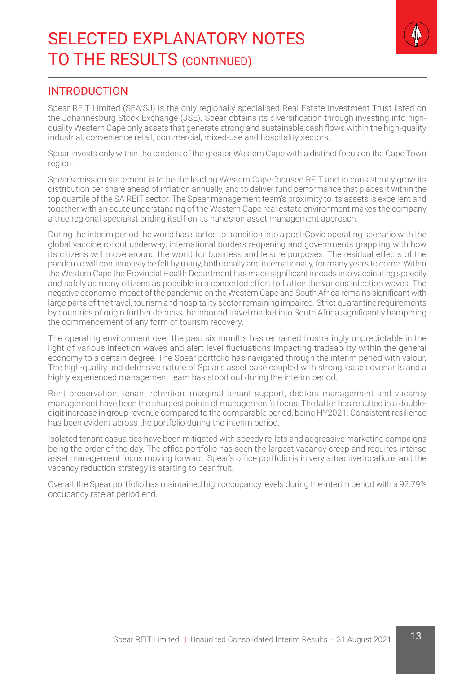

#### INTRODUCTION

Spear REIT Limited (SEA:SJ) is the only regionally specialised Real Estate Investment Trust listed on the Johannesburg Stock Exchange (JSE). Spear obtains its diversification through investing into highquality Western Cape only assets that generate strong and sustainable cash flows within the high-quality industrial, convenience retail, commercial, mixed-use and hospitality sectors.

Spear invests only within the borders of the greater Western Cape with a distinct focus on the Cape Town region.

Spear's mission statement is to be the leading Western Cape-focused REIT and to consistently grow its distribution per share ahead of inflation annually, and to deliver fund performance that places it within the top quartile of the SA REIT sector. The Spear management team's proximity to its assets is excellent and together with an acute understanding of the Western Cape real estate environment makes the company a true regional specialist priding itself on its hands-on asset management approach.

During the interim period the world has started to transition into a post-Covid operating scenario with the global vaccine rollout underway, international borders reopening and governments grappling with how its citizens will move around the world for business and leisure purposes. The residual effects of the pandemic will continuously be felt by many, both locally and internationally, for many years to come. Within the Western Cape the Provincial Health Department has made significant inroads into vaccinating speedily and safely as many citizens as possible in a concerted effort to flatten the various infection waves. The negative economic impact of the pandemic on the Western Cape and South Africa remains significant with large parts of the travel, tourism and hospitality sector remaining impaired. Strict quarantine requirements by countries of origin further depress the inbound travel market into South Africa significantly hampering the commencement of any form of tourism recovery.

The operating environment over the past six months has remained frustratingly unpredictable in the light of various infection waves and alert level fluctuations impacting tradeability within the general economy to a certain degree. The Spear portfolio has navigated through the interim period with valour. The high-quality and defensive nature of Spear's asset base coupled with strong lease covenants and a highly experienced management team has stood out during the interim period.

Rent preservation, tenant retention, marginal tenant support, debtors management and vacancy management have been the sharpest points of management's focus. The latter has resulted in a doubledigit increase in group revenue compared to the comparable period, being HY2021. Consistent resilience has been evident across the portfolio during the interim period.

Isolated tenant casualties have been mitigated with speedy re-lets and aggressive marketing campaigns being the order of the day. The office portfolio has seen the largest vacancy creep and requires intense asset management focus moving forward. Spear's office portfolio is in very attractive locations and the vacancy reduction strategy is starting to bear fruit.

Overall, the Spear portfolio has maintained high occupancy levels during the interim period with a 92.79% occupancy rate at period end.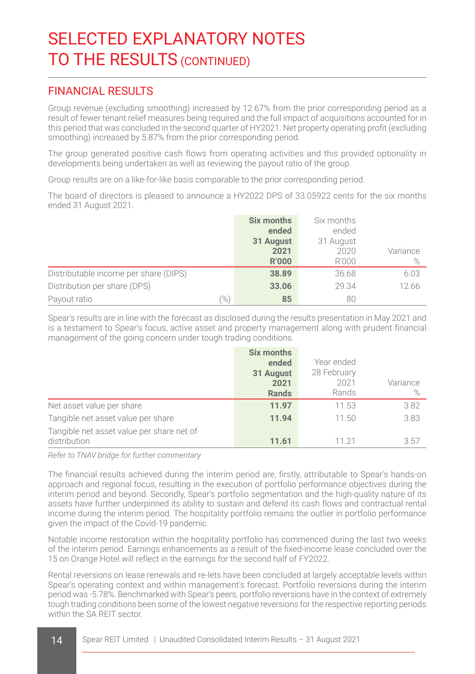### FINANCIAL RESULTS

Group revenue (excluding smoothing) increased by 12.67% from the prior corresponding period as a result of fewer tenant relief measures being required and the full impact of acquisitions accounted for in this period that was concluded in the second quarter of HY2021. Net property operating profit (excluding smoothing) increased by 5.87% from the prior corresponding period.

The group generated positive cash flows from operating activities and this provided optionality in developments being undertaken as well as reviewing the payout ratio of the group.

Group results are on a like-for-like basis comparable to the prior corresponding period.

The board of directors is pleased to announce a HY2022 DPS of 33.05922 cents for the six months ended 31 August 2021.

|                                       | <b>Six months</b> | Six months        |          |
|---------------------------------------|-------------------|-------------------|----------|
|                                       | ended             | ended             |          |
|                                       | 31 August<br>2021 | 31 August<br>2020 | Variance |
|                                       | <b>R'000</b>      | R'000             | $\%$     |
| Distributable income per share (DIPS) | 38.89             | 36.68             | 6.03     |
| Distribution per share (DPS)          | 33.06             | 29.34             | 12.66    |
| $\%$<br>Payout ratio                  | 85                | 80                |          |

Spear's results are in line with the forecast as disclosed during the results presentation in May 2021 and is a testament to Spear's focus, active asset and property management along with prudent financial management of the going concern under tough trading conditions.

|                                                           | Six months<br>ended<br>31 August<br>2021<br><b>Rands</b> | Year ended<br>28 February<br>2021<br>Rands | Variance<br>$\%$ |
|-----------------------------------------------------------|----------------------------------------------------------|--------------------------------------------|------------------|
| Net asset value per share                                 | 11.97                                                    | 11.53                                      | 3.82             |
| Tangible net asset value per share                        | 11.94                                                    | 11.50                                      | 3.83             |
| Tangible net asset value per share net of<br>distribution | 11.61                                                    | 11 21                                      | 3.57             |

*Refer to TNAV bridge for further commentary*

The financial results achieved during the interim period are, firstly, attributable to Spear's hands-on approach and regional focus, resulting in the execution of portfolio performance objectives during the interim period and beyond. Secondly, Spear's portfolio segmentation and the high-quality nature of its assets have further underpinned its ability to sustain and defend its cash flows and contractual rental income during the interim period. The hospitality portfolio remains the outlier in portfolio performance given the impact of the Covid-19 pandemic.

Notable income restoration within the hospitality portfolio has commenced during the last two weeks of the interim period. Earnings enhancements as a result of the fixed-income lease concluded over the 15 on Orange Hotel will reflect in the earnings for the second half of FY2022.

Rental reversions on lease renewals and re-lets have been concluded at largely acceptable levels within Spear's operating context and within management's forecast. Portfolio reversions during the interim period was -5.78%. Benchmarked with Spear's peers, portfolio reversions have in the context of extremely tough trading conditions been some of the lowest negative reversions for the respective reporting periods within the SA REIT sector.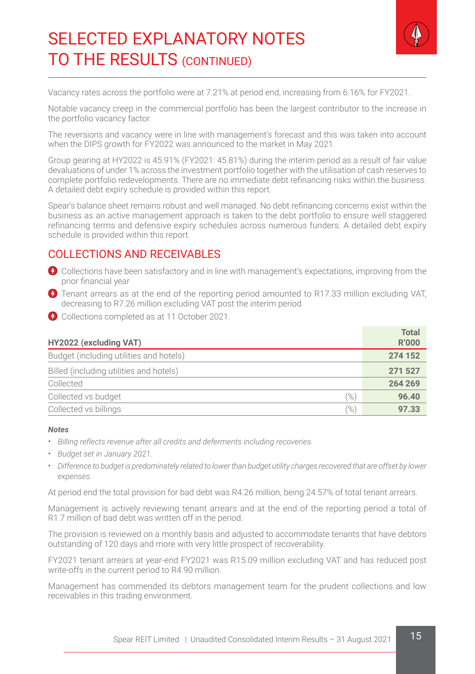

Vacancy rates across the portfolio were at 7.21% at period end, increasing from 6.16% for FY2021.

Notable vacancy creep in the commercial portfolio has been the largest contributor to the increase in the portfolio vacancy factor.

The reversions and vacancy were in line with management's forecast and this was taken into account when the DIPS growth for FY2022 was announced to the market in May 2021.

Group gearing at HY2022 is 45.91% (FY2021: 45.81%) during the interim period as a result of fair value devaluations of under 1% across the investment portfolio together with the utilisation of cash reserves to complete portfolio redevelopments. There are no immediate debt refinancing risks within the business. A detailed debt expiry schedule is provided within this report.

Spear's balance sheet remains robust and well managed. No debt refinancing concerns exist within the business as an active management approach is taken to the debt portfolio to ensure well staggered refinancing terms and defensive expiry schedules across numerous funders. A detailed debt expiry schedule is provided within this report.

### COLLECTIONS AND RECEIVABLES

- Collections have been satisfactory and in line with management's expectations, improving from the prior financial year
- **D** Tenant arrears as at the end of the reporting period amounted to R17.33 million excluding VAT. decreasing to R7.26 million excluding VAT post the interim period
- Collections completed as at 11 October 2021.

| HY2022 (excluding VAT)                  | <b>Total</b><br><b>R'000</b> |
|-----------------------------------------|------------------------------|
| Budget (including utilities and hotels) | 274 152                      |
| Billed (including utilities and hotels) | 271 527                      |
| Collected                               | 264 269                      |
| Collected vs budget<br>(%`              | 96.40                        |
| (%`<br>Collected vs billings            | 97.33                        |

#### *Notes*

- *Billing reflects revenue after all credits and deferments including recoveries.*
- *Budget set in January 2021.*
- *Difference to budget is predominately related to lower than budget utility charges recovered that are offset by lower expenses.*

At period end the total provision for bad debt was R4.26 million, being 24.57% of total tenant arrears.

Management is actively reviewing tenant arrears and at the end of the reporting period a total of R1.7 million of bad debt was written off in the period.

The provision is reviewed on a monthly basis and adjusted to accommodate tenants that have debtors outstanding of 120 days and more with very little prospect of recoverability.

FY2021 tenant arrears at year-end FY2021 was R15.09 million excluding VAT and has reduced post write-offs in the current period to R4.90 million.

Management has commended its debtors management team for the prudent collections and low receivables in this trading environment.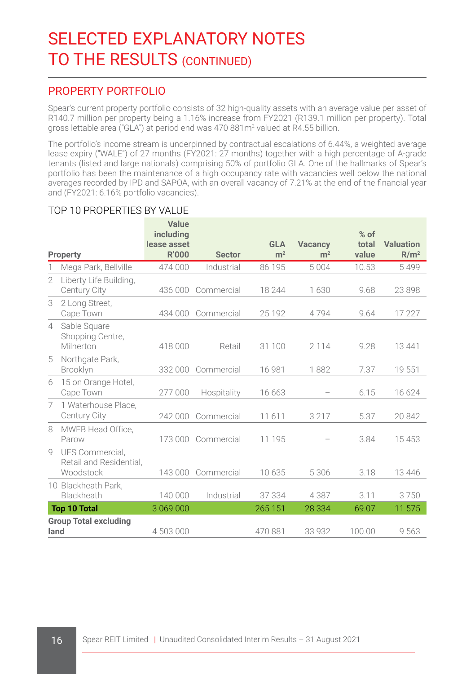### PROPERTY PORTFOLIO

Spear's current property portfolio consists of 32 high-quality assets with an average value per asset of R140.7 million per property being a 1.16% increase from FY2021 (R139.1 million per property). Total gross lettable area ("GLA") at period end was 470 881m<sup>2</sup> valued at R4.55 billion.

The portfolio's income stream is underpinned by contractual escalations of 6.44%, a weighted average lease expiry ("WALE") of 27 months (FY2021: 27 months) together with a high percentage of A-grade tenants (listed and large nationals) comprising 50% of portfolio GLA. One of the hallmarks of Spear's portfolio has been the maintenance of a high occupancy rate with vacancies well below the national averages recorded by IPD and SAPOA, with an overall vacancy of 7.21% at the end of the financial year and (FY2021: 6.16% portfolio vacancies).

#### **Property Value including lease asset Sector GLA m2 Vacancy m2 % of total value Valuation R/m2** 1 Mega Park, Bellville 474 000 Industrial 86 195 5 004 10.53 5 499 2 Liberty Life Building, Century City 436 000 Commercial 18 244 1 630 9.68 23 898 3 2 Long Street, Cape Town 434 000 Commercial 25 192 4 794 9.64 17 227 4 Sable Square Shopping Centre, Milnerton 418 000 Retail 31 100 2 114 9.28 13 441 5 Northgate Park, Brooklyn 332 000 Commercial 16 981 1 882 7.37 19 551 6 15 on Orange Hotel, Cape Town 277 000 Hospitality 16 663 – 6.15 16 624 7 1 Waterhouse Place, Century City 242 000 Commercial 11 611 3 217 5.37 20 842 8 MWEB Head Office, 173 000 Commercial 11 195 - 3.84 15 453 9 UES Commercial, Retail and Residential,<br>Woodstock Woodstock 143 000 Commercial 10 635 5 306 3.18 13 446 10 Blackheath Park,<br>Blackheath Blackheath 140 000 Industrial 37 334 4 387 3.11 3 750 **Top 10 Total** 3 069 000 265 151 28 334 69.07 11 575 **Group Total excluding land** 4503 000 470 881 33 932 100.00 9 563

#### TOP 10 PROPERTIES BY VALUE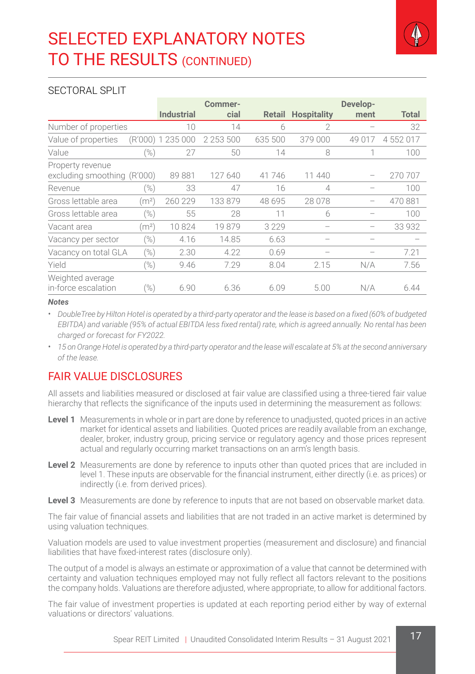

#### SECTORAL SPLIT

|                                                 |                   |                   | Commer-       |         |                    | Develop- |           |
|-------------------------------------------------|-------------------|-------------------|---------------|---------|--------------------|----------|-----------|
|                                                 |                   | <b>Industrial</b> | cial          | Retail  | <b>Hospitality</b> | ment     | Total     |
| Number of properties                            |                   | 10                | 14            | 6       | $\mathcal{P}$      |          | 32        |
| Value of properties                             |                   | (R'000) 1 235 000 | 2 2 5 3 5 0 0 | 635 500 | 379 000            | 49 017   | 4 552 017 |
| Value                                           | $(\%)$            | 27                | 50            | 14      | 8                  |          | 100       |
| Property revenue<br>excluding smoothing (R'000) |                   | 89881             | 127 640       | 41746   | 11 440             |          | 270 707   |
| Revenue                                         | %)                | 33                | 47            | 16      | 4                  |          | 100       |
| Gross lettable area                             | (m <sup>2</sup> ) | 260 229           | 133 879       | 48 695  | 28 078             |          | 470881    |
| Gross lettable area                             | $(\%)$            | 55                | 28            | 11      | 6                  |          | 100       |
| Vacant area                                     | (m <sup>2</sup> ) | 10824             | 19879         | 3229    |                    |          | 33 932    |
| Vacancy per sector                              | (%)               | 4.16              | 14.85         | 6.63    |                    |          |           |
| Vacancy on total GLA                            | (%)               | 2.30              | 4.22          | 0.69    |                    |          | 7.21      |
| Yield                                           | (%)               | 9.46              | 7.29          | 8.04    | 2.15               | N/A      | 7.56      |
| Weighted average<br>in-force escalation         | (%)               | 6.90              | 6.36          | 6.09    | 5.00               | N/A      | 6.44      |

#### *Notes*

• *DoubleTree by Hilton Hotel is operated by a third-party operator and the lease is based on a fixed (60% of budgeted EBITDA) and variable (95% of actual EBITDA less fixed rental) rate, which is agreed annually. No rental has been charged or forecast for FY2022.*

• *15 on Orange Hotel is operated by a third-party operator and the lease will escalate at 5% at the second anniversary of the lease.*

# **FAIR VALUE DISCLOSURES**

All assets and liabilities measured or disclosed at fair value are classified using a three-tiered fair value hierarchy that reflects the significance of the inputs used in determining the measurement as follows:

- **Level 1** Measurements in whole or in part are done by reference to unadjusted, quoted prices in an active market for identical assets and liabilities. Quoted prices are readily available from an exchange, dealer, broker, industry group, pricing service or regulatory agency and those prices represent actual and regularly occurring market transactions on an arm's length basis.
- **Level 2** Measurements are done by reference to inputs other than quoted prices that are included in level 1. These inputs are observable for the financial instrument, either directly (i.e. as prices) or indirectly (i.e. from derived prices).
- Level 3 Measurements are done by reference to inputs that are not based on observable market data.

The fair value of financial assets and liabilities that are not traded in an active market is determined by using valuation techniques.

Valuation models are used to value investment properties (measurement and disclosure) and financial liabilities that have fixed-interest rates (disclosure only).

The output of a model is always an estimate or approximation of a value that cannot be determined with certainty and valuation techniques employed may not fully reflect all factors relevant to the positions the company holds. Valuations are therefore adjusted, where appropriate, to allow for additional factors.

The fair value of investment properties is updated at each reporting period either by way of external valuations or directors' valuations.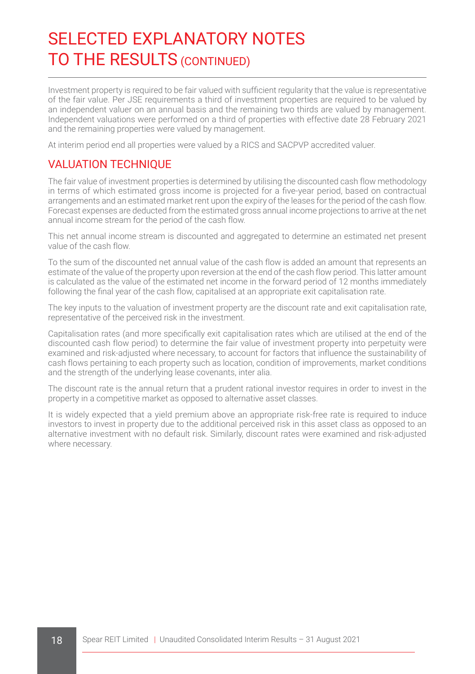Investment property is required to be fair valued with sufficient regularity that the value is representative of the fair value. Per JSE requirements a third of investment properties are required to be valued by an independent valuer on an annual basis and the remaining two thirds are valued by management. Independent valuations were performed on a third of properties with effective date 28 February 2021 and the remaining properties were valued by management.

At interim period end all properties were valued by a RICS and SACPVP accredited valuer.

# VALUATION TECHNIQUE

The fair value of investment properties is determined by utilising the discounted cash flow methodology in terms of which estimated gross income is projected for a five-year period, based on contractual arrangements and an estimated market rent upon the expiry of the leases for the period of the cash flow. Forecast expenses are deducted from the estimated gross annual income projections to arrive at the net annual income stream for the period of the cash flow.

This net annual income stream is discounted and aggregated to determine an estimated net present value of the cash flow.

To the sum of the discounted net annual value of the cash flow is added an amount that represents an estimate of the value of the property upon reversion at the end of the cash flow period. This latter amount is calculated as the value of the estimated net income in the forward period of 12 months immediately following the final year of the cash flow, capitalised at an appropriate exit capitalisation rate.

The key inputs to the valuation of investment property are the discount rate and exit capitalisation rate, representative of the perceived risk in the investment.

Capitalisation rates (and more specifically exit capitalisation rates which are utilised at the end of the discounted cash flow period) to determine the fair value of investment property into perpetuity were examined and risk-adjusted where necessary, to account for factors that influence the sustainability of cash flows pertaining to each property such as location, condition of improvements, market conditions and the strength of the underlying lease covenants, inter alia.

The discount rate is the annual return that a prudent rational investor requires in order to invest in the property in a competitive market as opposed to alternative asset classes.

It is widely expected that a yield premium above an appropriate risk-free rate is required to induce investors to invest in property due to the additional perceived risk in this asset class as opposed to an alternative investment with no default risk. Similarly, discount rates were examined and risk-adjusted where necessary.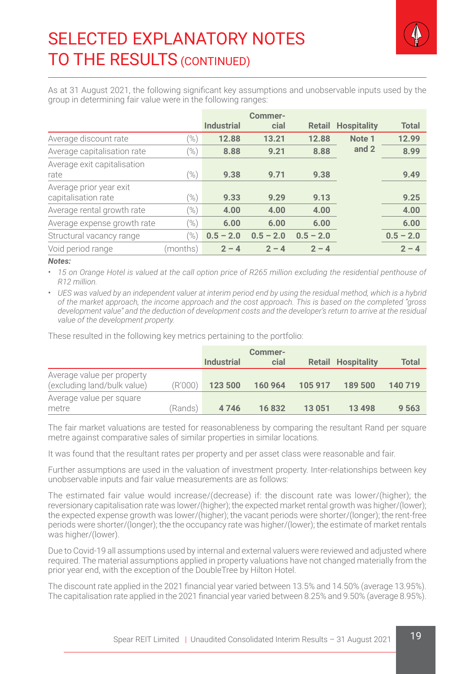

As at 31 August 2021, the following significant key assumptions and unobservable inputs used by the group in determining fair value were in the following ranges:

|                             |                   |                   | Commer-     |             |                    |              |
|-----------------------------|-------------------|-------------------|-------------|-------------|--------------------|--------------|
|                             |                   | <b>Industrial</b> | cial        | Retail      | <b>Hospitality</b> | <b>Total</b> |
| Average discount rate       | $\mathcal{O}_{6}$ | 12.88             | 13.21       | 12.88       | Note <sub>1</sub>  | 12.99        |
| Average capitalisation rate | (%)               | 8.88              | 9.21        | 8.88        | and 2              | 8.99         |
| Average exit capitalisation |                   |                   |             |             |                    |              |
| rate                        | $(\%)$            | 9.38              | 9.71        | 9.38        |                    | 9.49         |
| Average prior year exit     |                   |                   |             |             |                    |              |
| capitalisation rate         | $\frac{1}{2}$     | 9.33              | 9.29        | 9.13        |                    | 9.25         |
| Average rental growth rate  | $(\%)$            | 4.00              | 4.00        | 4.00        |                    | 4.00         |
| Average expense growth rate | $(\%)$            | 6.00              | 6.00        | 6.00        |                    | 6.00         |
| Structural vacancy range    | $(\%)$            | $0.5 - 2.0$       | $0.5 - 2.0$ | $0.5 - 2.0$ |                    | $0.5 - 2.0$  |
| Void period range           | (months)          | $2 - 4$           | $2 - 4$     | $2 - 4$     |                    | $2 - 4$      |

#### *Notes:*

• 15 on Orange Hotel is valued at the call option price of R265 million excluding the residential penthouse of *R12 million.*

• *UES was valued by an independent valuer at interim period end by using the residual method, which is a hybrid of the market approach, the income approach and the cost approach. This is based on the completed "gross*  development value" and the deduction of development costs and the developer's return to arrive at the residual *value of the development property.* 

These resulted in the following key metrics pertaining to the portfolio:

|                             |         |                   | Commer- |         |                           |         |
|-----------------------------|---------|-------------------|---------|---------|---------------------------|---------|
|                             |         | <b>Industrial</b> | cial    |         | <b>Retail Hospitality</b> | Total   |
| Average value per property  |         |                   |         |         |                           |         |
| (excluding land/bulk value) | (R'000) | 123 500           | 160 964 | 105 917 | 189 500                   | 140 719 |
| Average value per square    |         |                   |         |         |                           |         |
| metre                       | (Rands) | 4746              | 16832   | 13 0 51 | 13 4 9 8                  | 9 5 6 3 |

The fair market valuations are tested for reasonableness by comparing the resultant Rand per square metre against comparative sales of similar properties in similar locations.

It was found that the resultant rates per property and per asset class were reasonable and fair.

Further assumptions are used in the valuation of investment property. Inter-relationships between key unobservable inputs and fair value measurements are as follows:

The estimated fair value would increase/(decrease) if: the discount rate was lower/(higher); the reversionary capitalisation rate was lower/(higher); the expected market rental growth was higher/(lower); the expected expense growth was lower/(higher); the vacant periods were shorter/(longer); the rent-free periods were shorter/(longer); the the occupancy rate was higher/(lower); the estimate of market rentals was higher/(lower).

Due to Covid-19 all assumptions used by internal and external valuers were reviewed and adjusted where required. The material assumptions applied in property valuations have not changed materially from the prior year end, with the exception of the DoubleTree by Hilton Hotel.

The discount rate applied in the 2021 financial year varied between 13.5% and 14.50% (average 13.95%). The capitalisation rate applied in the 2021 financial year varied between 8.25% and 9.50% (average 8.95%).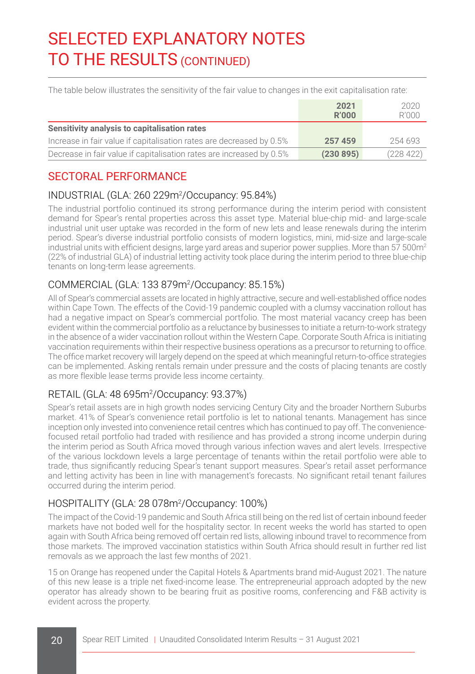The table below illustrates the sensitivity of the fair value to changes in the exit capitalisation rate:

|                                                                      | 2021<br>R'000 | 2020<br>R'000 |
|----------------------------------------------------------------------|---------------|---------------|
| Sensitivity analysis to capitalisation rates                         |               |               |
| Increase in fair value if capitalisation rates are decreased by 0.5% | 257459        | 254 693       |
| Decrease in fair value if capitalisation rates are increased by 0.5% | (230895)      | (228 422)     |

# SECTORAL PERFORMANCE

# INDUSTRIAL (GLA: 260 229m2 /Occupancy: 95.84%)

The industrial portfolio continued its strong performance during the interim period with consistent demand for Spear's rental properties across this asset type. Material blue-chip mid- and large-scale industrial unit user uptake was recorded in the form of new lets and lease renewals during the interim period. Spear's diverse industrial portfolio consists of modern logistics, mini, mid-size and large-scale industrial units with efficient designs, large yard areas and superior power supplies. More than  $57,500$ m<sup>2</sup> (22% of industrial GLA) of industrial letting activity took place during the interim period to three blue-chip tenants on long-term lease agreements.

### COMMERCIAL (GLA: 133 879m2 /Occupancy: 85.15%)

All of Spear's commercial assets are located in highly attractive, secure and well-established office nodes within Cape Town. The effects of the Covid-19 pandemic coupled with a clumsy vaccination rollout has had a negative impact on Spear's commercial portfolio. The most material vacancy creep has been evident within the commercial portfolio as a reluctance by businesses to initiate a return-to-work strategy in the absence of a wider vaccination rollout within the Western Cape. Corporate South Africa is initiating vaccination requirements within their respective business operations as a precursor to returning to office. The office market recovery will largely depend on the speed at which meaningful return-to-office strategies can be implemented. Asking rentals remain under pressure and the costs of placing tenants are costly as more flexible lease terms provide less income certainty.

#### RETAIL (GLA: 48 695m2 /Occupancy: 93.37%)

Spear's retail assets are in high growth nodes servicing Century City and the broader Northern Suburbs market. 41% of Spear's convenience retail portfolio is let to national tenants. Management has since inception only invested into convenience retail centres which has continued to pay off. The conveniencefocused retail portfolio had traded with resilience and has provided a strong income underpin during the interim period as South Africa moved through various infection waves and alert levels. Irrespective of the various lockdown levels a large percentage of tenants within the retail portfolio were able to trade, thus significantly reducing Spear's tenant support measures. Spear's retail asset performance and letting activity has been in line with management's forecasts. No significant retail tenant failures occurred during the interim period.

### HOSPITALITY (GLA: 28 078m2 /Occupancy: 100%)

The impact of the Covid-19 pandemic and South Africa still being on the red list of certain inbound feeder markets have not boded well for the hospitality sector. In recent weeks the world has started to open again with South Africa being removed off certain red lists, allowing inbound travel to recommence from those markets. The improved vaccination statistics within South Africa should result in further red list removals as we approach the last few months of 2021.

15 on Orange has reopened under the Capital Hotels & Apartments brand mid-August 2021. The nature of this new lease is a triple net fixed-income lease. The entrepreneurial approach adopted by the new operator has already shown to be bearing fruit as positive rooms, conferencing and F&B activity is evident across the property.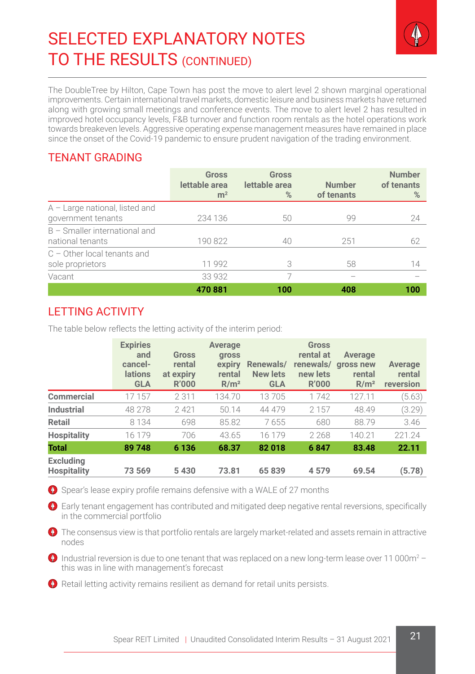

The DoubleTree by Hilton, Cape Town has post the move to alert level 2 shown marginal operational improvements. Certain international travel markets, domestic leisure and business markets have returned along with growing small meetings and conference events. The move to alert level 2 has resulted in improved hotel occupancy levels, F&B turnover and function room rentals as the hotel operations work towards breakeven levels. Aggressive operating expense management measures have remained in place since the onset of the Covid-19 pandemic to ensure prudent navigation of the trading environment.

# TENANT GRADING

|                                                        | <b>Gross</b><br>lettable area<br>m <sup>2</sup> | <b>Gross</b><br>lettable area<br>% | <b>Number</b><br>of tenants | <b>Number</b><br>of tenants<br>% |
|--------------------------------------------------------|-------------------------------------------------|------------------------------------|-----------------------------|----------------------------------|
| $A -$ Large national, listed and<br>government tenants | 234 136                                         | 50                                 | 99                          | 24                               |
| $B$ – Smaller international and<br>national tenants    | 190 822                                         | 40                                 | 251                         | 62                               |
| $C -$ Other local tenants and<br>sole proprietors      | 11 992                                          | 3                                  | 58                          | 14                               |
| Vacant                                                 | 33 932                                          |                                    |                             |                                  |
|                                                        | 470881                                          | 100                                | 408                         | 100                              |

# LETTING ACTIVITY

The table below reflects the letting activity of the interim period:

|                                        | <b>Expiries</b><br>and<br>cancel-<br><b>lations</b><br><b>GLA</b> | Gross<br>rental<br>at expiry<br><b>R'000</b> | Average<br>gross<br>expiry<br>rental<br>R/m <sup>2</sup> | Renewals/<br><b>New lets</b><br><b>GLA</b> | <b>Gross</b><br>rental at<br>renewals/<br>new lets<br><b>R'000</b> | Average<br>aross new<br>rental<br>R/m <sup>2</sup> | Average<br>rental<br>reversion |
|----------------------------------------|-------------------------------------------------------------------|----------------------------------------------|----------------------------------------------------------|--------------------------------------------|--------------------------------------------------------------------|----------------------------------------------------|--------------------------------|
| Commercial                             | 17 157                                                            | 2311                                         | 134.70                                                   | 13705                                      | 1742                                                               | 127.11                                             | (5.63)                         |
| Industrial                             | 48 278                                                            | 2421                                         | 50.14                                                    | 44 479                                     | 2 1 5 7                                                            | 48.49                                              | (3.29)                         |
| <b>Retail</b>                          | 8 1 3 4                                                           | 698                                          | 85.82                                                    | 7655                                       | 680                                                                | 88.79                                              | 3.46                           |
| <b>Hospitality</b>                     | 16 179                                                            | 706                                          | 43.65                                                    | 16 179                                     | 2 2 6 8                                                            | 140.21                                             | 221.24                         |
| <b>Total</b>                           | 89 748                                                            | 6 1 3 6                                      | 68.37                                                    | 82018                                      | 6847                                                               | 83.48                                              | 22.11                          |
| <b>Excluding</b><br><b>Hospitality</b> | 73 569                                                            | 5430                                         | 73.81                                                    | 65839                                      | 4579                                                               | 69.54                                              | (5.78)                         |

**O** Spear's lease expiry profile remains defensive with a WALE of 27 months

 Early tenant engagement has contributed and mitigated deep negative rental reversions, specifically in the commercial portfolio

**O** The consensus view is that portfolio rentals are largely market-related and assets remain in attractive nodes

Industrial reversion is due to one tenant that was replaced on a new long-term lease over 11 000 $\mathrm{m}^2$  – this was in line with management's forecast

**O** Retail letting activity remains resilient as demand for retail units persists.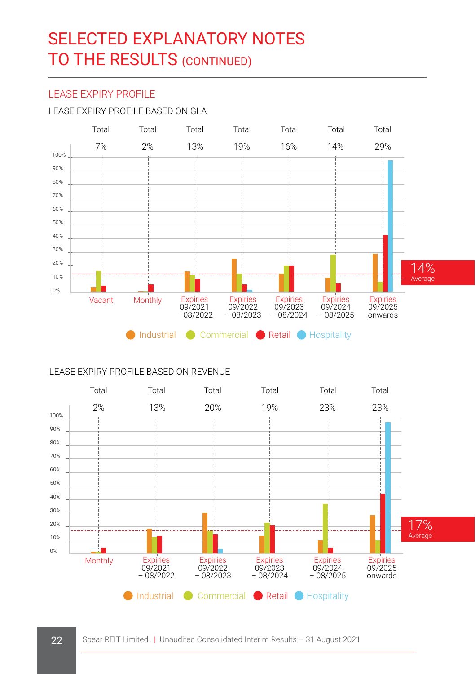#### LEASE EXPIRY PROFILE

#### LEASE EXPIRY PROFILE BASED ON GLA



#### LEASE EXPIRY PROFILE BASED ON REVENUE

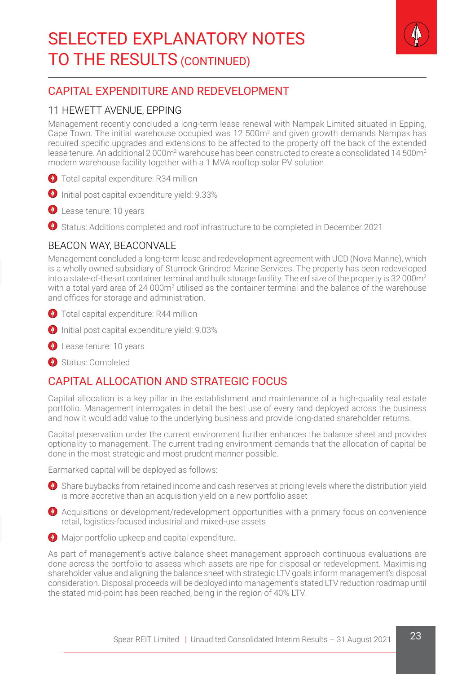

# CAPITAL EXPENDITURE AND REDEVELOPMENT

#### 11 HEWETT AVENUE, EPPING

Management recently concluded a long-term lease renewal with Nampak Limited situated in Epping, Cape Town. The initial warehouse occupied was 12 500m<sup>2</sup> and given growth demands Nampak has required specific upgrades and extensions to be affected to the property off the back of the extended lease tenure. An additional 2 000m<sup>2</sup> warehouse has been constructed to create a consolidated 14 500m<sup>2</sup> modern warehouse facility together with a 1 MVA rooftop solar PV solution.

- **O** Total capital expenditure: R34 million
- $\bullet$  Initial post capital expenditure vield: 9.33%
- **Q** Lease tenure: 10 years
- Status: Additions completed and roof infrastructure to be completed in December 2021

#### BEACON WAY, BEACONVALE

Management concluded a long-term lease and redevelopment agreement with UCD (Nova Marine), which is a wholly owned subsidiary of Sturrock Grindrod Marine Services. The property has been redeveloped into a state-of-the-art container terminal and bulk storage facility. The erf size of the property is 32 000 $m<sup>2</sup>$ with a total yard area of 24 000m<sup>2</sup> utilised as the container terminal and the balance of the warehouse and offices for storage and administration.

- **O** Total capital expenditure: R44 million
- **O** Initial post capital expenditure yield: 9.03%
- **Q** Lease tenure: 10 years
- Status: Completed

### CAPITAL ALLOCATION AND STRATEGIC FOCUS

Capital allocation is a key pillar in the establishment and maintenance of a high-quality real estate portfolio. Management interrogates in detail the best use of every rand deployed across the business and how it would add value to the underlying business and provide long-dated shareholder returns.

Capital preservation under the current environment further enhances the balance sheet and provides optionality to management. The current trading environment demands that the allocation of capital be done in the most strategic and most prudent manner possible.

Earmarked capital will be deployed as follows:

- <sup>1</sup> Share buybacks from retained income and cash reserves at pricing levels where the distribution yield is more accretive than an acquisition yield on a new portfolio asset
- Acquisitions or development/redevelopment opportunities with a primary focus on convenience retail, logistics-focused industrial and mixed-use assets



As part of management's active balance sheet management approach continuous evaluations are done across the portfolio to assess which assets are ripe for disposal or redevelopment. Maximising shareholder value and aligning the balance sheet with strategic LTV goals inform management's disposal consideration. Disposal proceeds will be deployed into management's stated LTV reduction roadmap until the stated mid-point has been reached, being in the region of 40% LTV.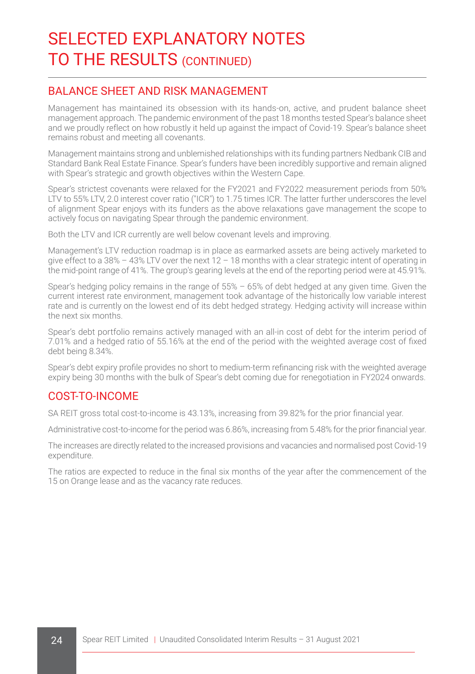#### BALANCE SHEET AND RISK MANAGEMENT

Management has maintained its obsession with its hands-on, active, and prudent balance sheet management approach. The pandemic environment of the past 18 months tested Spear's balance sheet and we proudly reflect on how robustly it held up against the impact of Covid-19. Spear's balance sheet remains robust and meeting all covenants.

Management maintains strong and unblemished relationships with its funding partners Nedbank CIB and Standard Bank Real Estate Finance. Spear's funders have been incredibly supportive and remain aligned with Spear's strategic and growth objectives within the Western Cape.

Spear's strictest covenants were relaxed for the FY2021 and FY2022 measurement periods from 50% LTV to 55% LTV, 2.0 interest cover ratio ("ICR") to 1.75 times ICR. The latter further underscores the level of alignment Spear enjoys with its funders as the above relaxations gave management the scope to actively focus on navigating Spear through the pandemic environment.

Both the LTV and ICR currently are well below covenant levels and improving.

Management's LTV reduction roadmap is in place as earmarked assets are being actively marketed to give effect to a 38% – 43% LTV over the next 12 – 18 months with a clear strategic intent of operating in the mid-point range of 41%. The group's gearing levels at the end of the reporting period were at 45.91%.

Spear's hedging policy remains in the range of 55% – 65% of debt hedged at any given time. Given the current interest rate environment, management took advantage of the historically low variable interest rate and is currently on the lowest end of its debt hedged strategy. Hedging activity will increase within the next six months.

Spear's debt portfolio remains actively managed with an all-in cost of debt for the interim period of 7.01% and a hedged ratio of 55.16% at the end of the period with the weighted average cost of fixed debt being 8.34%.

Spear's debt expiry profile provides no short to medium-term refinancing risk with the weighted average expiry being 30 months with the bulk of Spear's debt coming due for renegotiation in FY2024 onwards.

### COST-TO-INCOME

SA REIT gross total cost-to-income is 43.13%, increasing from 39.82% for the prior financial year.

Administrative cost-to-income for the period was 6.86%, increasing from 5.48% for the prior financial year.

The increases are directly related to the increased provisions and vacancies and normalised post Covid-19 expenditure.

The ratios are expected to reduce in the final six months of the year after the commencement of the 15 on Orange lease and as the vacancy rate reduces.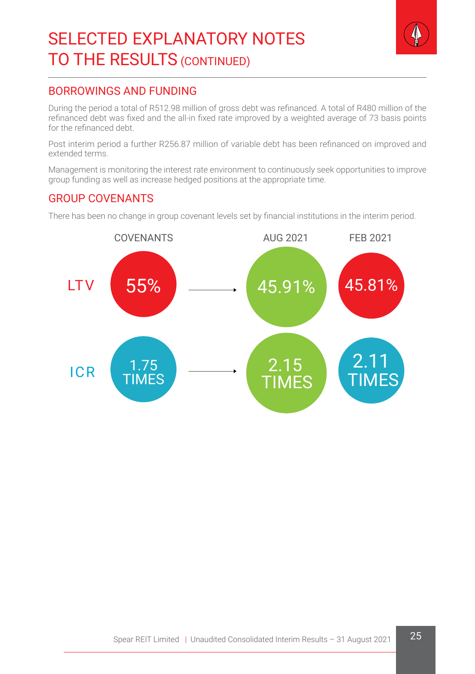

### BORROWINGS AND FUNDING

During the period a total of R512.98 million of gross debt was refinanced. A total of R480 million of the refinanced debt was fixed and the all-in fixed rate improved by a weighted average of 73 basis points for the refinanced debt.

Post interim period a further R256.87 million of variable debt has been refinanced on improved and extended terms.

Management is monitoring the interest rate environment to continuously seek opportunities to improve group funding as well as increase hedged positions at the appropriate time.

#### GROUP COVENANTS

There has been no change in group covenant levels set by financial institutions in the interim period.

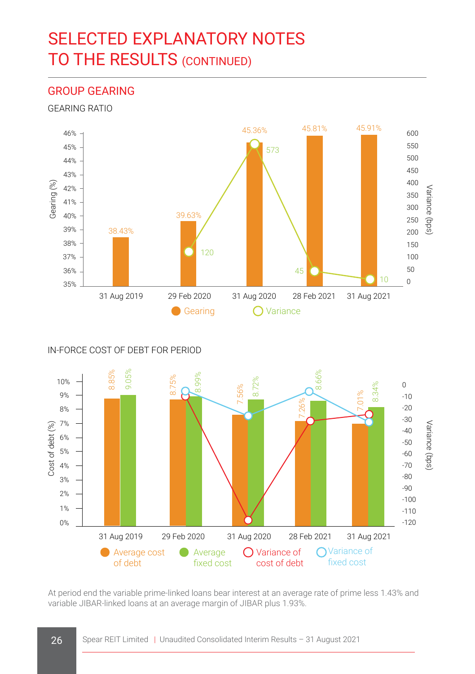#### GROUP GEARING

GEARING RATIO



IN-FORCE COST OF DEBT FOR PERIOD



At period end the variable prime-linked loans bear interest at an average rate of prime less 1.43% and variable JIBAR-linked loans at an average margin of JIBAR plus 1.93%.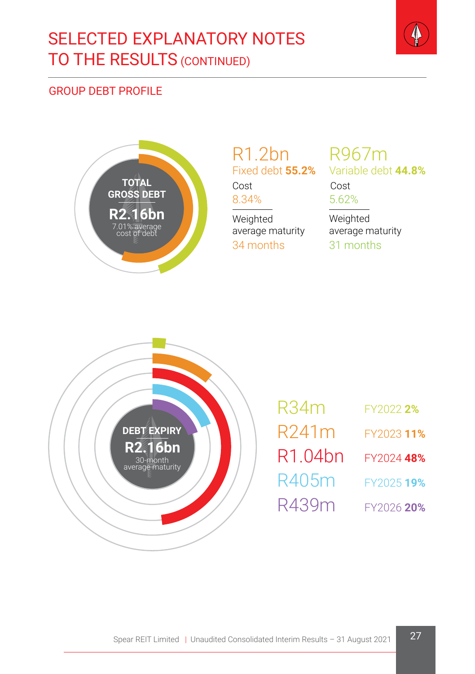

# GROUP DEBT PROFILE



# R1.2bn R967m Fixed debt **55.2%**

Cost Cost

Weighted

average maturity 34 months

8.34% 5.62% Variable debt **44.8%**

> Weighted average maturity 31 months



| R34m                | FY2022 2%  |
|---------------------|------------|
| R241m               | FY202311%  |
| R1.04 <sub>bn</sub> | FY2024 48% |
| R405m               | FY2025 19% |
| R439m               | FY2026 20% |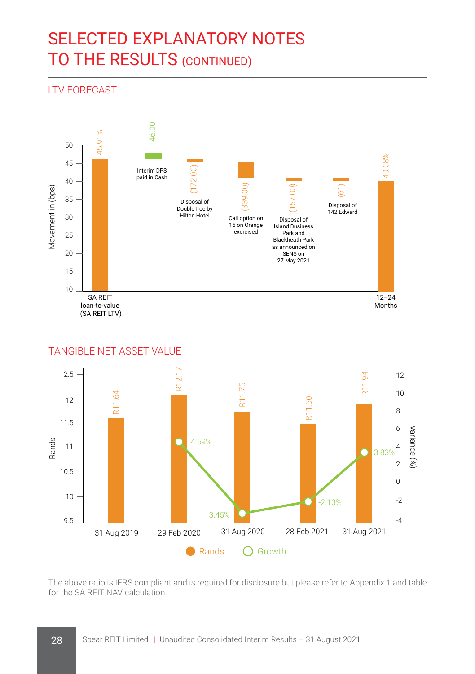# LTV FORECAST



#### TANGIBLE NET ASSET VALUE



The above ratio is IFRS compliant and is required for disclosure but please refer to Appendix 1 and table for the SA REIT NAV calculation.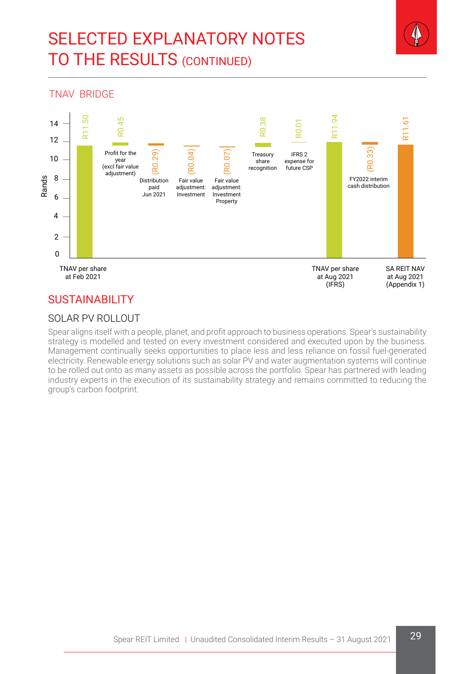

#### TNAV BRIDGE



# **SUSTAINABILITY**

#### SOLAR PV ROLLOUT

Spear aligns itself with a people, planet, and profit approach to business operations. Spear's sustainability strategy is modelled and tested on every investment considered and executed upon by the business. Management continually seeks opportunities to place less and less reliance on fossil fuel-generated electricity. Renewable energy solutions such as solar PV and water augmentation systems will continue to be rolled out onto as many assets as possible across the portfolio. Spear has partnered with leading industry experts in the execution of its sustainability strategy and remains committed to reducing the group's carbon footprint.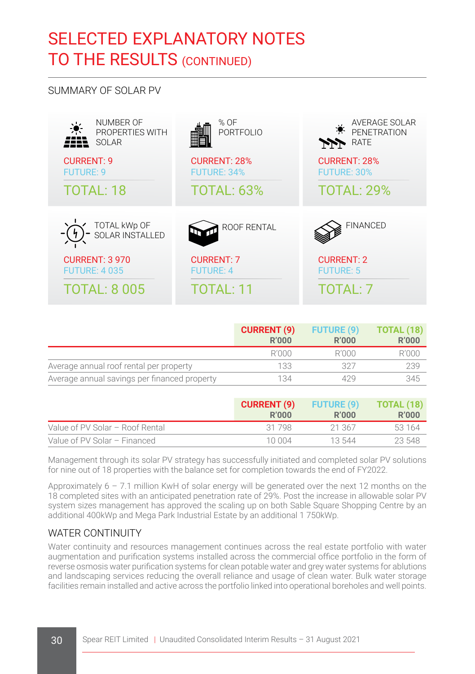#### SUMMARY OF SOLAR PV

| NUMBER OF<br>PROPERTIES WITH<br>SOLAR | % OF<br>PORTFOLIO   | AVERAGE SOLAR<br>PFNETRATION<br><b>RATE</b><br>ملعامر |
|---------------------------------------|---------------------|-------------------------------------------------------|
| <b>CURRENT: 9</b>                     | <b>CURRENT: 28%</b> | <b>CURRENT: 28%</b>                                   |
| <b>FUTURE: 9</b>                      | <b>FUTURE: 34%</b>  | <b>FUTURE: 30%</b>                                    |
| <b>TOTAL: 18</b>                      | <b>TOTAL: 63%</b>   | <b>TOTAL: 29%</b>                                     |
| ⊂ TOTAL kWp OF<br>I⊃ SOLAR INSTALLED  | ROOF RENTAL         | <b>FINANCED</b>                                       |
| <b>CURRENT: 3 970</b>                 | <b>CURRENT: 7</b>   | <b>CURRENT: 2</b>                                     |
| <b>FUTURE: 4 035</b>                  | <b>FUTURE: 4</b>    | <b>FUTURE: 5</b>                                      |
| <b>TOTAL: 8 005</b>                   | <b>TOTAL: 11</b>    | TOTAI : 7                                             |

|                                              | <b>CURRENT (9)</b><br><b>R'000</b> | <b>FUTURE (9)</b><br>R'000 | <b>TOTAL (18)</b><br><b>R'000</b> |
|----------------------------------------------|------------------------------------|----------------------------|-----------------------------------|
|                                              | R'000                              | R'000                      | R'000                             |
| Average annual roof rental per property      | 133                                | タクラ                        | 239                               |
| Average annual savings per financed property | 134                                | 429                        | 345                               |

|                                 | <b>CURRENT (9)</b><br>R'000 | <b>FUTURE (9)</b><br>R'000 | TOTAL (18)<br>R'000 |
|---------------------------------|-----------------------------|----------------------------|---------------------|
| Value of PV Solar - Roof Rental | 31 798                      | 21.367                     | 53 164              |
| Value of PV Solar - Financed    | 10.004                      | 13.544                     | 23.548              |

Management through its solar PV strategy has successfully initiated and completed solar PV solutions for nine out of 18 properties with the balance set for completion towards the end of FY2022.

Approximately 6 – 7.1 million KwH of solar energy will be generated over the next 12 months on the 18 completed sites with an anticipated penetration rate of 29%. Post the increase in allowable solar PV system sizes management has approved the scaling up on both Sable Square Shopping Centre by an additional 400kWp and Mega Park Industrial Estate by an additional 1 750kWp.

#### WATER CONTINUITY

Water continuity and resources management continues across the real estate portfolio with water augmentation and purification systems installed across the commercial office portfolio in the form of reverse osmosis water purification systems for clean potable water and grey water systems for ablutions and landscaping services reducing the overall reliance and usage of clean water. Bulk water storage facilities remain installed and active across the portfolio linked into operational boreholes and well points.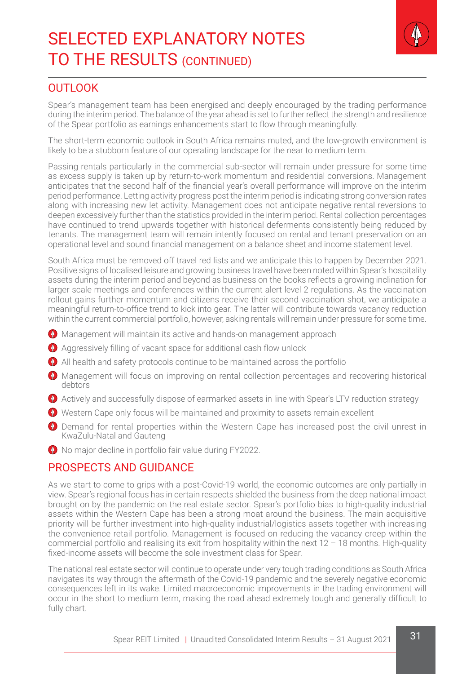

#### **OUTLOOK**

Spear's management team has been energised and deeply encouraged by the trading performance during the interim period. The balance of the year ahead is set to further reflect the strength and resilience of the Spear portfolio as earnings enhancements start to flow through meaningfully.

The short-term economic outlook in South Africa remains muted, and the low-growth environment is likely to be a stubborn feature of our operating landscape for the near to medium term.

Passing rentals particularly in the commercial sub-sector will remain under pressure for some time as excess supply is taken up by return-to-work momentum and residential conversions. Management anticipates that the second half of the financial year's overall performance will improve on the interim period performance. Letting activity progress post the interim period is indicating strong conversion rates along with increasing new let activity. Management does not anticipate negative rental reversions to deepen excessively further than the statistics provided in the interim period. Rental collection percentages have continued to trend upwards together with historical deferments consistently being reduced by tenants. The management team will remain intently focused on rental and tenant preservation on an operational level and sound financial management on a balance sheet and income statement level.

South Africa must be removed off travel red lists and we anticipate this to happen by December 2021. Positive signs of localised leisure and growing business travel have been noted within Spear's hospitality assets during the interim period and beyond as business on the books reflects a growing inclination for larger scale meetings and conferences within the current alert level 2 regulations. As the vaccination rollout gains further momentum and citizens receive their second vaccination shot, we anticipate a meaningful return-to-office trend to kick into gear. The latter will contribute towards vacancy reduction within the current commercial portfolio, however, asking rentals will remain under pressure for some time.

- **O** Management will maintain its active and hands-on management approach
- Aggressively filling of vacant space for additional cash flow unlock
- All health and safety protocols continue to be maintained across the portfolio
- **O** Management will focus on improving on rental collection percentages and recovering historical debtors
- Actively and successfully dispose of earmarked assets in line with Spear's LTV reduction strategy
- Western Cape only focus will be maintained and proximity to assets remain excellent
- **O** Demand for rental properties within the Western Cape has increased post the civil unrest in KwaZulu-Natal and Gauteng
- $\bullet$  No major decline in portfolio fair value during FY2022.

#### PROSPECTS AND GUIDANCE

As we start to come to grips with a post-Covid-19 world, the economic outcomes are only partially in view. Spear's regional focus has in certain respects shielded the business from the deep national impact brought on by the pandemic on the real estate sector. Spear's portfolio bias to high-quality industrial assets within the Western Cape has been a strong moat around the business. The main acquisitive priority will be further investment into high-quality industrial/logistics assets together with increasing the convenience retail portfolio. Management is focused on reducing the vacancy creep within the commercial portfolio and realising its exit from hospitality within the next 12 – 18 months. High-quality fixed-income assets will become the sole investment class for Spear.

The national real estate sector will continue to operate under very tough trading conditions as South Africa navigates its way through the aftermath of the Covid-19 pandemic and the severely negative economic consequences left in its wake. Limited macroeconomic improvements in the trading environment will occur in the short to medium term, making the road ahead extremely tough and generally difficult to fully chart.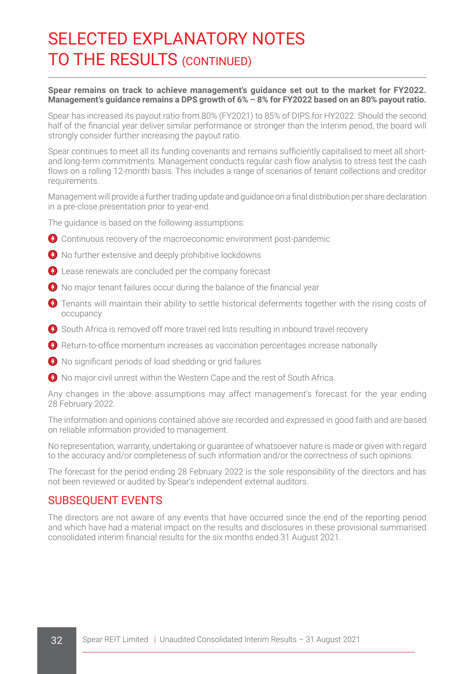#### **Spear remains on track to achieve management's guidance set out to the market for FY2022. Management's guidance remains a DPS growth of 6% – 8% for FY2022 based on an 80% payout ratio.**

Spear has increased its payout ratio from 80% (FY2021) to 85% of DIPS for HY2022. Should the second half of the financial year deliver similar performance or stronger than the interim period, the board will strongly consider further increasing the payout ratio.

Spear continues to meet all its funding covenants and remains sufficiently capitalised to meet all shortand long-term commitments. Management conducts regular cash flow analysis to stress test the cash flows on a rolling 12-month basis. This includes a range of scenarios of tenant collections and creditor requirements.

Management will provide a further trading update and guidance on a final distribution per share declaration in a pre-close presentation prior to year-end.

The guidance is based on the following assumptions:

- Continuous recovery of the macroeconomic environment post-pandemic
- No further extensive and deeply prohibitive lockdowns
- **O** Lease renewals are concluded per the company forecast
- No major tenant failures occur during the balance of the financial year
- **O** Tenants will maintain their ability to settle historical deferments together with the rising costs of occupancy
- South Africa is removed off more travel red lists resulting in inbound travel recovery
- **C** Return-to-office momentum increases as vaccination percentages increase nationally
- <sup>1</sup> No significant periods of load shedding or grid failures
- No major civil unrest within the Western Cape and the rest of South Africa.

Any changes in the above assumptions may affect management's forecast for the year ending 28 February 2022.

The information and opinions contained above are recorded and expressed in good faith and are based on reliable information provided to management.

No representation, warranty, undertaking or guarantee of whatsoever nature is made or given with regard to the accuracy and/or completeness of such information and/or the correctness of such opinions.

The forecast for the period ending 28 February 2022 is the sole responsibility of the directors and has not been reviewed or audited by Spear's independent external auditors.

#### SUBSEQUENT EVENTS

The directors are not aware of any events that have occurred since the end of the reporting period and which have had a material impact on the results and disclosures in these provisional summarised consolidated interim financial results for the six months ended 31 August 2021.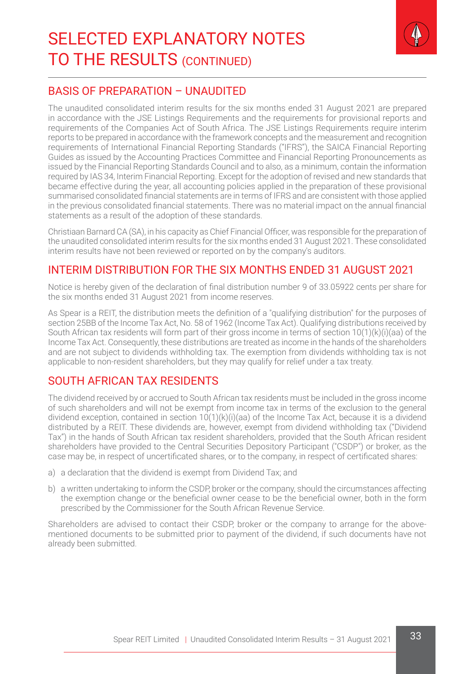

### BASIS OF PREPARATION – UNAUDITED

The unaudited consolidated interim results for the six months ended 31 August 2021 are prepared in accordance with the JSE Listings Requirements and the requirements for provisional reports and requirements of the Companies Act of South Africa. The JSE Listings Requirements require interim reports to be prepared in accordance with the framework concepts and the measurement and recognition requirements of International Financial Reporting Standards ("IFRS"), the SAICA Financial Reporting Guides as issued by the Accounting Practices Committee and Financial Reporting Pronouncements as issued by the Financial Reporting Standards Council and to also, as a minimum, contain the information required by IAS 34, Interim Financial Reporting. Except for the adoption of revised and new standards that became effective during the year, all accounting policies applied in the preparation of these provisional summarised consolidated financial statements are in terms of IFRS and are consistent with those applied in the previous consolidated financial statements. There was no material impact on the annual financial statements as a result of the adoption of these standards.

Christiaan Barnard CA (SA), in his capacity as Chief Financial Officer, was responsible for the preparation of the unaudited consolidated interim results for the six months ended 31 August 2021. These consolidated interim results have not been reviewed or reported on by the company's auditors.

### INTERIM DISTRIBUTION FOR THE SIX MONTHS ENDED 31 AUGUST 2021

Notice is hereby given of the declaration of final distribution number 9 of 33.05922 cents per share for the six months ended 31 August 2021 from income reserves.

As Spear is a REIT, the distribution meets the definition of a "qualifying distribution" for the purposes of section 25BB of the Income Tax Act, No. 58 of 1962 (Income Tax Act). Qualifying distributions received by South African tax residents will form part of their gross income in terms of section 10(1)(k)(i)(aa) of the Income Tax Act. Consequently, these distributions are treated as income in the hands of the shareholders and are not subject to dividends withholding tax. The exemption from dividends withholding tax is not applicable to non-resident shareholders, but they may qualify for relief under a tax treaty.

### SOUTH AFRICAN TAX RESIDENTS

The dividend received by or accrued to South African tax residents must be included in the gross income of such shareholders and will not be exempt from income tax in terms of the exclusion to the general dividend exception, contained in section 10(1)(k)(i)(aa) of the Income Tax Act, because it is a dividend distributed by a REIT. These dividends are, however, exempt from dividend withholding tax ("Dividend Tax") in the hands of South African tax resident shareholders, provided that the South African resident shareholders have provided to the Central Securities Depository Participant ("CSDP") or broker, as the case may be, in respect of uncertificated shares, or to the company, in respect of certificated shares:

- a) a declaration that the dividend is exempt from Dividend Tax; and
- b) a written undertaking to inform the CSDP, broker or the company, should the circumstances affecting the exemption change or the beneficial owner cease to be the beneficial owner, both in the form prescribed by the Commissioner for the South African Revenue Service.

Shareholders are advised to contact their CSDP, broker or the company to arrange for the abovementioned documents to be submitted prior to payment of the dividend, if such documents have not already been submitted.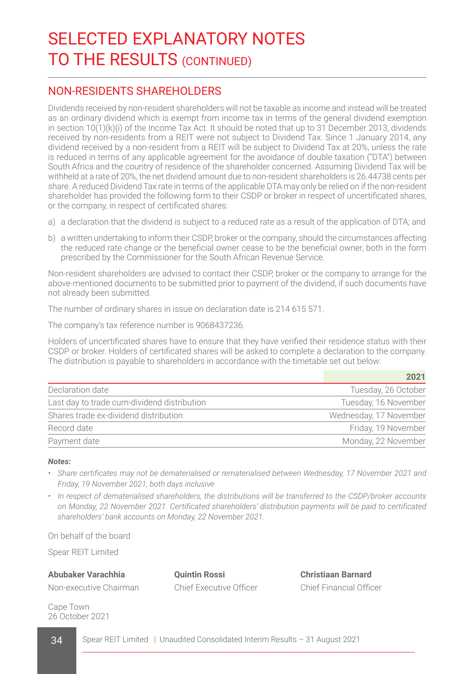### NON-RESIDENTS SHAREHOLDERS

Dividends received by non-resident shareholders will not be taxable as income and instead will be treated as an ordinary dividend which is exempt from income tax in terms of the general dividend exemption in section 10(1)(k)(i) of the Income Tax Act. It should be noted that up to 31 December 2013, dividends received by non-residents from a REIT were not subject to Dividend Tax. Since 1 January 2014, any dividend received by a non-resident from a REIT will be subject to Dividend Tax at 20%, unless the rate is reduced in terms of any applicable agreement for the avoidance of double taxation ("DTA") between South Africa and the country of residence of the shareholder concerned. Assuming Dividend Tax will be withheld at a rate of 20%, the net dividend amount due to non-resident shareholders is 26.44738 cents per share. A reduced Dividend Tax rate in terms of the applicable DTA may only be relied on if the non-resident shareholder has provided the following form to their CSDP or broker in respect of uncertificated shares, or the company, in respect of certificated shares:

- a) a declaration that the dividend is subject to a reduced rate as a result of the application of DTA; and
- b) a written undertaking to inform their CSDP, broker or the company, should the circumstances affecting the reduced rate change or the beneficial owner cease to be the beneficial owner, both in the form prescribed by the Commissioner for the South African Revenue Service.

Non-resident shareholders are advised to contact their CSDP, broker or the company to arrange for the above-mentioned documents to be submitted prior to payment of the dividend, if such documents have not already been submitted.

The number of ordinary shares in issue on declaration date is 214 615 571.

The company's tax reference number is 9068437236.

Holders of uncertificated shares have to ensure that they have verified their residence status with their CSDP or broker. Holders of certificated shares will be asked to complete a declaration to the company. The distribution is payable to shareholders in accordance with the timetable set out below:

| 2021                   |
|------------------------|
| Tuesday, 26 October    |
| Tuesday, 16 November   |
| Wednesday, 17 November |
| Friday, 19 November    |
| Monday, 22 November    |
|                        |

#### *Notes:*

- *• Share certificates may not be dematerialised or rematerialised between Wednesday, 17 November 2021 and Friday, 19 November 2021, both days inclusive.*
- *• In respect of dematerialised shareholders, the distributions will be transferred to the CSDP/broker accounts on Monday, 22 November 2021. Certificated shareholders' distribution payments will be paid to certificated shareholders' bank accounts on Monday, 22 November 2021.*

On behalf of the board

Spear REIT Limited

**Abubaker Varachhia Quintin Rossi Christiaan Barnard**

Non-executive Chairman Chief Executive Officer Chief Financial Officer

Cape Town 26 October 2021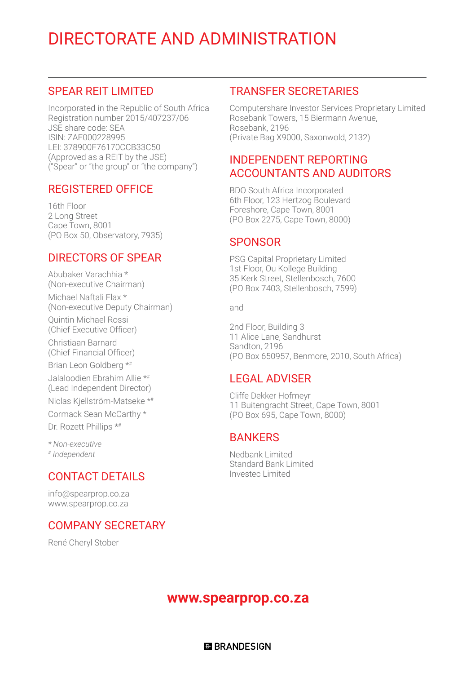# DIRECTORATE AND ADMINISTRATION

### SPEAR REIT LIMITED

Incorporated in the Republic of South Africa Registration number 2015/407237/06 JSE share code: SEA ISIN: ZAE000228995 LEI: 378900F76170CCB33C50 (Approved as a REIT by the JSE) ("Spear" or "the group" or "the company")

#### REGISTERED OFFICE

16th Floor 2 Long Street Cape Town, 8001 (PO Box 50, Observatory, 7935)

# DIRECTORS OF SPEAR

Abubaker Varachhia \* (Non-executive Chairman) Michael Naftali Flax \* (Non-executive Deputy Chairman)

Quintin Michael Rossi (Chief Executive Officer)

Christiaan Barnard (Chief Financial Officer)

Brian Leon Goldberg \*#

Jalaloodien Ebrahim Allie \*# (Lead Independent Director)

Niclas Kjellström-Matseke \*#

Cormack Sean McCarthy \*

Dr. Rozett Phillips \*#

*\* Non-executive # Independent*

# CONTACT DETAILS

info@spearprop.co.za www.spearprop.co.za

### COMPANY SECRETARY

René Cheryl Stober

### TRANSFER SECRETARIES

Computershare Investor Services Proprietary Limited Rosebank Towers, 15 Biermann Avenue, Rosebank, 2196 (Private Bag X9000, Saxonwold, 2132)

# INDEPENDENT REPORTING ACCOUNTANTS AND AUDITORS

BDO South Africa Incorporated 6th Floor, 123 Hertzog Boulevard Foreshore, Cape Town, 8001 (PO Box 2275, Cape Town, 8000)

# **SPONSOR**

PSG Capital Proprietary Limited 1st Floor, Ou Kollege Building 35 Kerk Street, Stellenbosch, 7600 (PO Box 7403, Stellenbosch, 7599)

and

2nd Floor, Building 3 11 Alice Lane, Sandhurst Sandton, 2196 (PO Box 650957, Benmore, 2010, South Africa)

### LEGAL ADVISER

Cliffe Dekker Hofmeyr 11 Buitengracht Street, Cape Town, 8001 (PO Box 695, Cape Town, 8000)

### **BANKERS**

Nedbank Limited Standard Bank Limited Investec Limited

### **www.spearprop.co.za**

**ELBRANDESIGN**